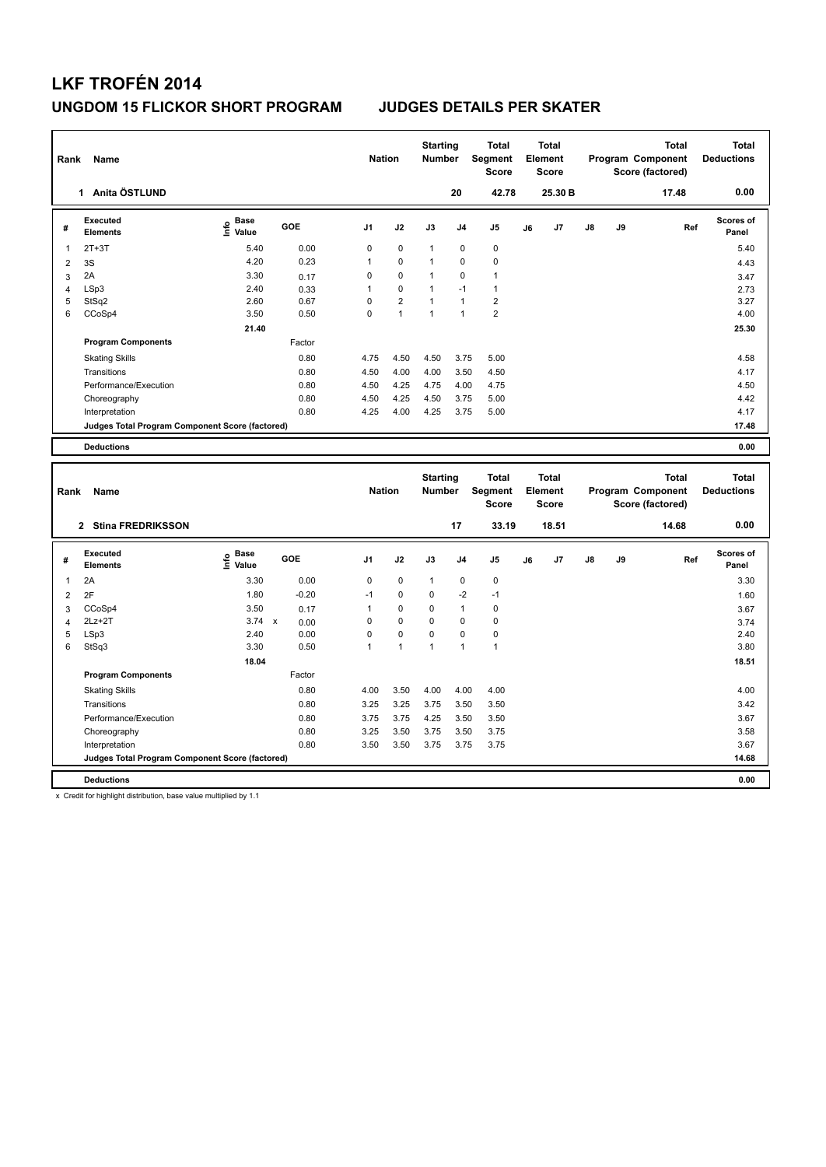| Rank                | Name                                            |                              |                      | <b>Nation</b>  |                | <b>Starting</b><br><b>Number</b> |                               | <b>Total</b><br>Segment<br><b>Score</b> |    | <b>Total</b><br>Element<br><b>Score</b> |    |    | <b>Total</b><br>Program Component<br>Score (factored) | <b>Total</b><br><b>Deductions</b> |
|---------------------|-------------------------------------------------|------------------------------|----------------------|----------------|----------------|----------------------------------|-------------------------------|-----------------------------------------|----|-----------------------------------------|----|----|-------------------------------------------------------|-----------------------------------|
|                     | 1 Anita ÖSTLUND                                 |                              |                      |                |                |                                  | 20                            | 42.78                                   |    | 25.30 B                                 |    |    | 17.48                                                 | 0.00                              |
| #                   | <b>Executed</b><br><b>Elements</b>              | <b>Base</b><br>۴ů<br>Value   | GOE                  | J <sub>1</sub> | J2             | J3                               | J <sub>4</sub>                | J5                                      | J6 | J7                                      | J8 | J9 | Ref                                                   | Scores of<br>Panel                |
| 1                   | $2T+3T$                                         | 5.40                         | 0.00                 | 0              | $\mathbf 0$    | $\mathbf{1}$                     | $\mathbf 0$                   | $\mathbf 0$                             |    |                                         |    |    |                                                       | 5.40                              |
| $\overline{2}$      | 3S                                              | 4.20                         | 0.23                 | 1              | 0              | $\mathbf{1}$                     | $\mathbf 0$                   | $\mathbf 0$                             |    |                                         |    |    |                                                       | 4.43                              |
| 3                   | 2A                                              | 3.30                         | 0.17                 | 0              | $\mathbf 0$    | 1                                | $\mathbf 0$                   | $\mathbf{1}$                            |    |                                         |    |    |                                                       | 3.47                              |
| $\overline{4}$      | LSp3                                            | 2.40                         | 0.33                 | $\mathbf{1}$   | $\mathbf 0$    | $\mathbf{1}$                     | $-1$                          | $\mathbf{1}$                            |    |                                         |    |    |                                                       | 2.73                              |
| 5                   | StSq2                                           | 2.60                         | 0.67                 | 0              | $\overline{2}$ | 1                                | $\mathbf{1}$                  | $\overline{2}$                          |    |                                         |    |    |                                                       | 3.27                              |
| 6                   | CCoSp4                                          | 3.50                         | 0.50                 | 0              | $\mathbf{1}$   | $\mathbf{1}$                     | $\mathbf{1}$                  | $\overline{2}$                          |    |                                         |    |    |                                                       | 4.00                              |
|                     |                                                 | 21.40                        |                      |                |                |                                  |                               |                                         |    |                                         |    |    |                                                       | 25.30                             |
|                     | <b>Program Components</b>                       |                              | Factor               |                |                |                                  |                               |                                         |    |                                         |    |    |                                                       |                                   |
|                     | <b>Skating Skills</b>                           |                              | 0.80                 | 4.75           | 4.50           | 4.50                             | 3.75                          | 5.00                                    |    |                                         |    |    |                                                       | 4.58                              |
|                     | Transitions                                     |                              | 0.80                 | 4.50           | 4.00           | 4.00                             | 3.50                          | 4.50                                    |    |                                         |    |    |                                                       | 4.17                              |
|                     | Performance/Execution                           |                              | 0.80                 | 4.50           | 4.25           | 4.75                             | 4.00                          | 4.75                                    |    |                                         |    |    |                                                       | 4.50                              |
|                     | Choreography                                    |                              | 0.80                 | 4.50           | 4.25           | 4.50                             | 3.75                          | 5.00                                    |    |                                         |    |    |                                                       | 4.42                              |
|                     | Interpretation                                  |                              | 0.80                 | 4.25           | 4.00           | 4.25                             | 3.75                          | 5.00                                    |    |                                         |    |    |                                                       | 4.17                              |
|                     | Judges Total Program Component Score (factored) |                              |                      |                |                |                                  |                               |                                         |    |                                         |    |    |                                                       | 17.48                             |
|                     | <b>Deductions</b>                               |                              |                      |                |                |                                  |                               |                                         |    |                                         |    |    |                                                       | 0.00                              |
|                     |                                                 |                              |                      |                |                |                                  |                               |                                         |    |                                         |    |    |                                                       |                                   |
|                     |                                                 |                              |                      |                |                |                                  |                               |                                         |    |                                         |    |    |                                                       |                                   |
| Rank                | Name                                            |                              |                      | <b>Nation</b>  |                | <b>Starting</b><br><b>Number</b> |                               | <b>Total</b><br>Segment                 |    | <b>Total</b><br>Element                 |    |    | <b>Total</b><br>Program Component                     | <b>Total</b><br><b>Deductions</b> |
|                     |                                                 |                              |                      |                |                |                                  |                               | <b>Score</b>                            |    | <b>Score</b>                            |    |    | Score (factored)                                      |                                   |
|                     | 2 Stina FREDRIKSSON                             |                              |                      |                |                |                                  | 17                            | 33.19                                   |    | 18.51                                   |    |    | 14.68                                                 | 0.00                              |
| #                   | <b>Executed</b><br><b>Elements</b>              | <b>Base</b><br>١nfo<br>Value | GOE                  | J <sub>1</sub> | J2             | J3                               | J4                            | J5                                      | J6 | J7                                      | J8 | J9 | Ref                                                   | Scores of<br>Panel                |
|                     |                                                 |                              |                      |                |                |                                  |                               |                                         |    |                                         |    |    |                                                       |                                   |
| 1                   | 2A                                              | 3.30                         | 0.00                 | 0<br>$-1$      | $\pmb{0}$<br>0 | $\mathbf{1}$<br>0                | $\mathbf 0$                   | $\mathbf 0$<br>$-1$                     |    |                                         |    |    |                                                       | 3.30                              |
| $\overline{2}$      | 2F                                              | 1.80                         | $-0.20$              |                |                |                                  | $-2$                          |                                         |    |                                         |    |    |                                                       | 1.60                              |
| 3<br>$\overline{4}$ | CCoSp4<br>$2Lz+2T$                              | 3.50<br>3.74                 | 0.17<br>$\mathsf{x}$ | 1<br>0         | 0<br>0         | 0<br>0                           | $\overline{1}$<br>$\mathbf 0$ | $\pmb{0}$<br>$\mathbf 0$                |    |                                         |    |    |                                                       | 3.67                              |
| 5                   | LSp3                                            | 2.40                         | 0.00<br>0.00         | 0              | 0              | 0                                | $\Omega$                      | $\mathbf 0$                             |    |                                         |    |    |                                                       | 3.74<br>2.40                      |
| 6                   | StSq3                                           | 3.30                         | 0.50                 | $\mathbf{1}$   | $\mathbf{1}$   | 1                                | $\overline{1}$                | $\mathbf{1}$                            |    |                                         |    |    |                                                       | 3.80                              |
|                     |                                                 | 18.04                        |                      |                |                |                                  |                               |                                         |    |                                         |    |    |                                                       | 18.51                             |
|                     | <b>Program Components</b>                       |                              | Factor               |                |                |                                  |                               |                                         |    |                                         |    |    |                                                       |                                   |
|                     |                                                 |                              | 0.80                 | 4.00           | 3.50           | 4.00                             | 4.00                          | 4.00                                    |    |                                         |    |    |                                                       | 4.00                              |
|                     | <b>Skating Skills</b><br>Transitions            |                              | 0.80                 | 3.25           | 3.25           | 3.75                             | 3.50                          | 3.50                                    |    |                                         |    |    |                                                       | 3.42                              |
|                     | Performance/Execution                           |                              | 0.80                 | 3.75           | 3.75           | 4.25                             | 3.50                          | 3.50                                    |    |                                         |    |    |                                                       | 3.67                              |
|                     |                                                 |                              | 0.80                 | 3.25           | 3.50           | 3.75                             | 3.50                          | 3.75                                    |    |                                         |    |    |                                                       | 3.58                              |
|                     | Choreography<br>Interpretation                  |                              | 0.80                 | 3.50           | 3.50           | 3.75                             | 3.75                          | 3.75                                    |    |                                         |    |    |                                                       | 3.67                              |
|                     | Judges Total Program Component Score (factored) |                              |                      |                |                |                                  |                               |                                         |    |                                         |    |    |                                                       | 14.68                             |

x Credit for highlight distribution, base value multiplied by 1.1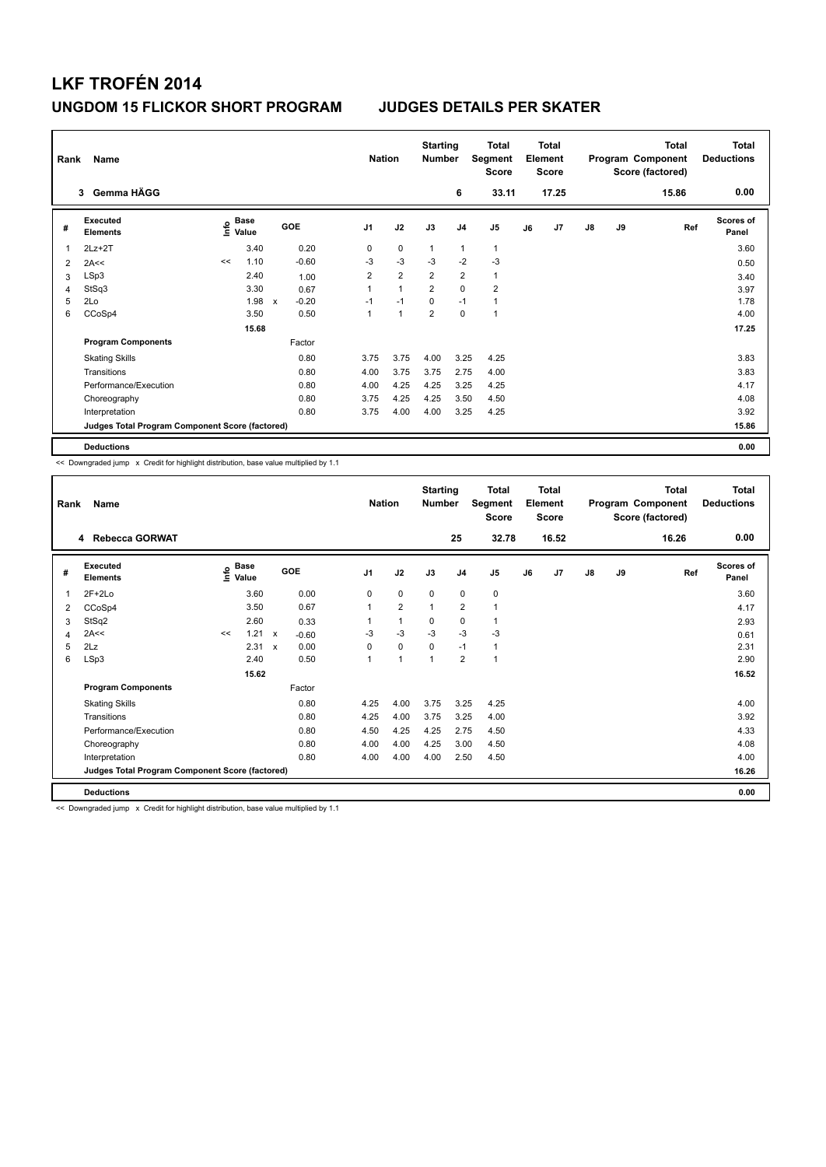|                | Rank<br>Name<br>Gemma HÄGG<br>3                 |      |                      |              |         |                | <b>Nation</b>  | <b>Starting</b><br><b>Number</b> |                | Total<br>Segment<br><b>Score</b> |    | <b>Total</b><br>Element<br><b>Score</b> |               |    | <b>Total</b><br>Program Component<br>Score (factored) | <b>Total</b><br><b>Deductions</b> |
|----------------|-------------------------------------------------|------|----------------------|--------------|---------|----------------|----------------|----------------------------------|----------------|----------------------------------|----|-----------------------------------------|---------------|----|-------------------------------------------------------|-----------------------------------|
|                |                                                 |      |                      |              |         |                |                |                                  | 6              | 33.11                            |    | 17.25                                   |               |    | 15.86                                                 | 0.00                              |
| #              | <b>Executed</b><br><b>Elements</b>              | ١nfo | <b>Base</b><br>Value |              | GOE     | J <sub>1</sub> | J2             | J3                               | J <sub>4</sub> | J5                               | J6 | J7                                      | $\mathsf{J}8$ | J9 | Ref                                                   | <b>Scores of</b><br>Panel         |
|                | $2Lz + 2T$                                      |      | 3.40                 |              | 0.20    | 0              | $\mathbf 0$    | $\overline{1}$                   | $\overline{1}$ | $\mathbf{1}$                     |    |                                         |               |    |                                                       | 3.60                              |
| $\overline{2}$ | 2A<<                                            | <<   | 1.10                 |              | $-0.60$ | $-3$           | $-3$           | $-3$                             | $-2$           | $-3$                             |    |                                         |               |    |                                                       | 0.50                              |
| 3              | LSp3                                            |      | 2.40                 |              | 1.00    | $\overline{2}$ | $\overline{2}$ | $\overline{2}$                   | $\overline{2}$ | $\mathbf{1}$                     |    |                                         |               |    |                                                       | 3.40                              |
| 4              | StSq3                                           |      | 3.30                 |              | 0.67    | 1              | 1              | $\overline{2}$                   | $\mathbf 0$    | $\overline{2}$                   |    |                                         |               |    |                                                       | 3.97                              |
| 5              | 2Lo                                             |      | 1.98                 | $\mathsf{x}$ | $-0.20$ | $-1$           | $-1$           | $\mathbf 0$                      | $-1$           | 1                                |    |                                         |               |    |                                                       | 1.78                              |
| 6              | CCoSp4                                          |      | 3.50                 |              | 0.50    | 1              | 1              | $\overline{2}$                   | $\Omega$       | 1                                |    |                                         |               |    |                                                       | 4.00                              |
|                |                                                 |      | 15.68                |              |         |                |                |                                  |                |                                  |    |                                         |               |    |                                                       | 17.25                             |
|                | <b>Program Components</b>                       |      |                      |              | Factor  |                |                |                                  |                |                                  |    |                                         |               |    |                                                       |                                   |
|                | <b>Skating Skills</b>                           |      |                      |              | 0.80    | 3.75           | 3.75           | 4.00                             | 3.25           | 4.25                             |    |                                         |               |    |                                                       | 3.83                              |
|                | Transitions                                     |      |                      |              | 0.80    | 4.00           | 3.75           | 3.75                             | 2.75           | 4.00                             |    |                                         |               |    |                                                       | 3.83                              |
|                | Performance/Execution                           |      |                      |              | 0.80    | 4.00           | 4.25           | 4.25                             | 3.25           | 4.25                             |    |                                         |               |    |                                                       | 4.17                              |
|                | Choreography                                    |      |                      |              | 0.80    | 3.75           | 4.25           | 4.25                             | 3.50           | 4.50                             |    |                                         |               |    |                                                       | 4.08                              |
|                | Interpretation                                  |      |                      |              | 0.80    | 3.75           | 4.00           | 4.00                             | 3.25           | 4.25                             |    |                                         |               |    |                                                       | 3.92                              |
|                | Judges Total Program Component Score (factored) |      |                      |              |         |                |                |                                  |                |                                  |    | 15.86                                   |               |    |                                                       |                                   |
|                | <b>Deductions</b>                               |      |                      |              |         |                |                |                                  |                |                                  |    |                                         |               |    |                                                       | 0.00                              |

<< Downgraded jump x Credit for highlight distribution, base value multiplied by 1.1

| Rank | Name<br>4 Rebecca GORWAT                        |    |                                       |                           |            | <b>Nation</b>  | <b>Starting</b><br><b>Number</b> |             | <b>Total</b><br>Segment<br><b>Score</b> |       | <b>Total</b><br>Element<br><b>Score</b> |       |               | <b>Total</b><br>Program Component<br>Score (factored) | <b>Total</b><br><b>Deductions</b> |                           |
|------|-------------------------------------------------|----|---------------------------------------|---------------------------|------------|----------------|----------------------------------|-------------|-----------------------------------------|-------|-----------------------------------------|-------|---------------|-------------------------------------------------------|-----------------------------------|---------------------------|
|      |                                                 |    |                                       |                           |            |                |                                  |             | 25                                      | 32.78 |                                         | 16.52 |               |                                                       | 16.26                             | 0.00                      |
| #    | Executed<br><b>Elements</b>                     |    | <b>Base</b><br>$\sum_{i=1}^{6}$ Value |                           | <b>GOE</b> | J <sub>1</sub> | J2                               | J3          | J <sub>4</sub>                          | J5    | J6                                      | J7    | $\mathsf{J}8$ | J9                                                    | Ref                               | <b>Scores of</b><br>Panel |
| 1    | $2F+2Lo$                                        |    | 3.60                                  |                           | 0.00       | 0              | $\mathbf 0$                      | $\mathbf 0$ | $\mathbf 0$                             | 0     |                                         |       |               |                                                       |                                   | 3.60                      |
| 2    | CCoSp4                                          |    | 3.50                                  |                           | 0.67       |                | $\overline{2}$                   | 1           | $\overline{\mathbf{c}}$                 | 1     |                                         |       |               |                                                       |                                   | 4.17                      |
| 3    | StSq2                                           |    | 2.60                                  |                           | 0.33       |                | $\mathbf{1}$                     | 0           | $\mathbf 0$                             | 1     |                                         |       |               |                                                       |                                   | 2.93                      |
| 4    | 2A<<                                            | << | 1.21                                  | $\mathsf{x}$              | $-0.60$    | $-3$           | $-3$                             | $-3$        | $-3$                                    | $-3$  |                                         |       |               |                                                       |                                   | 0.61                      |
| 5    | 2Lz                                             |    | 2.31                                  | $\boldsymbol{\mathsf{x}}$ | 0.00       | 0              | $\mathbf 0$                      | $\mathbf 0$ | $-1$                                    | 1     |                                         |       |               |                                                       |                                   | 2.31                      |
| 6    | LSp3                                            |    | 2.40                                  |                           | 0.50       | 1              | $\blacktriangleleft$             | 1           | $\overline{2}$                          | 1     |                                         |       |               |                                                       |                                   | 2.90                      |
|      |                                                 |    | 15.62                                 |                           |            |                |                                  |             |                                         |       |                                         |       |               |                                                       |                                   | 16.52                     |
|      | <b>Program Components</b>                       |    |                                       |                           | Factor     |                |                                  |             |                                         |       |                                         |       |               |                                                       |                                   |                           |
|      | <b>Skating Skills</b>                           |    |                                       |                           | 0.80       | 4.25           | 4.00                             | 3.75        | 3.25                                    | 4.25  |                                         |       |               |                                                       |                                   | 4.00                      |
|      | Transitions                                     |    |                                       |                           | 0.80       | 4.25           | 4.00                             | 3.75        | 3.25                                    | 4.00  |                                         |       |               |                                                       |                                   | 3.92                      |
|      | Performance/Execution                           |    |                                       |                           | 0.80       | 4.50           | 4.25                             | 4.25        | 2.75                                    | 4.50  |                                         |       |               |                                                       |                                   | 4.33                      |
|      | Choreography                                    |    |                                       |                           | 0.80       | 4.00           | 4.00                             | 4.25        | 3.00                                    | 4.50  |                                         |       |               |                                                       |                                   | 4.08                      |
|      | Interpretation                                  |    |                                       |                           | 0.80       | 4.00           | 4.00                             | 4.00        | 2.50                                    | 4.50  |                                         |       |               |                                                       |                                   | 4.00                      |
|      | Judges Total Program Component Score (factored) |    |                                       |                           |            |                |                                  |             |                                         |       |                                         |       |               |                                                       |                                   | 16.26                     |
|      | <b>Deductions</b>                               |    |                                       |                           |            |                |                                  |             |                                         |       |                                         |       |               |                                                       |                                   | 0.00                      |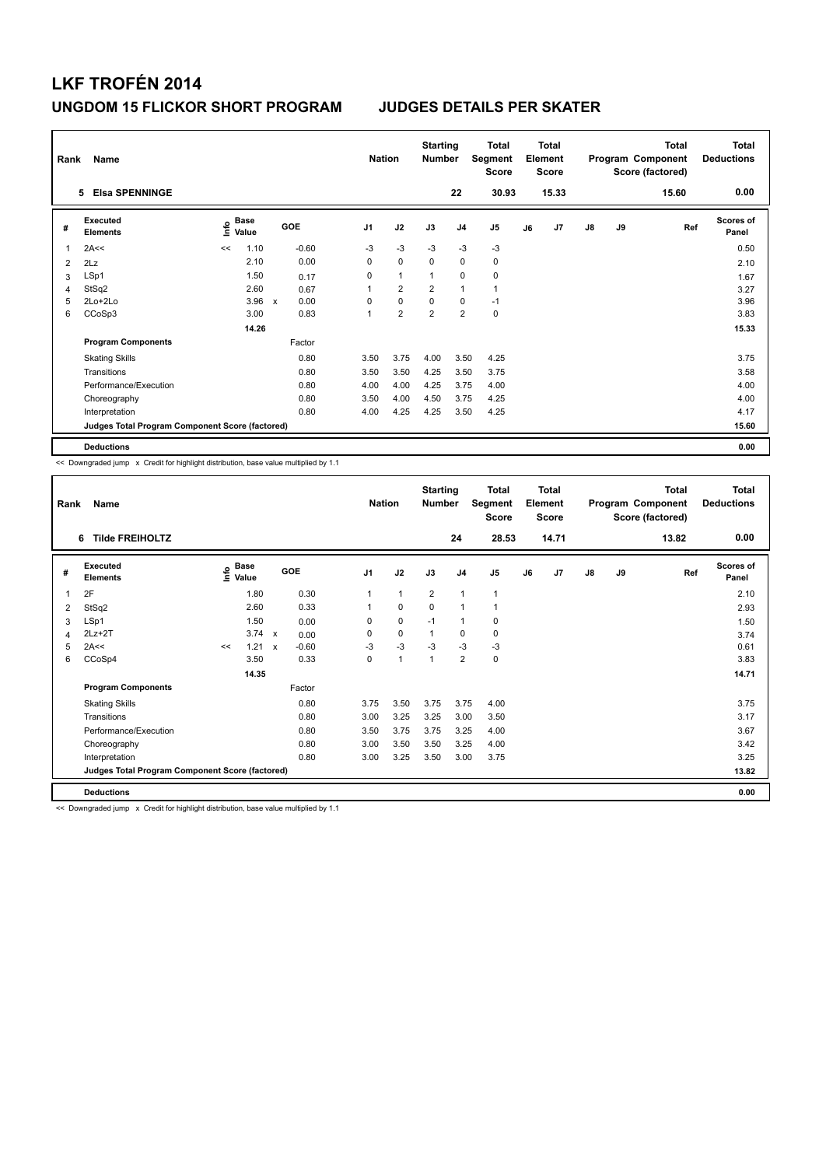| Rank | Name                                            | <b>Elsa SPENNINGE</b> |               |                           |         |                | <b>Nation</b>  | <b>Starting</b><br><b>Number</b> |                | Total<br>Segment<br><b>Score</b> |    | <b>Total</b><br>Element<br><b>Score</b> |               |    | <b>Total</b><br>Program Component<br>Score (factored) | <b>Total</b><br><b>Deductions</b> |
|------|-------------------------------------------------|-----------------------|---------------|---------------------------|---------|----------------|----------------|----------------------------------|----------------|----------------------------------|----|-----------------------------------------|---------------|----|-------------------------------------------------------|-----------------------------------|
|      | 5                                               |                       |               |                           |         |                |                |                                  | 22             | 30.93                            |    | 15.33                                   |               |    | 15.60                                                 | 0.00                              |
| #    | Executed<br><b>Elements</b>                     | ۴                     | Base<br>Value |                           | GOE     | J <sub>1</sub> | J2             | J3                               | J <sub>4</sub> | J <sub>5</sub>                   | J6 | J7                                      | $\mathsf{J}8$ | J9 | Ref                                                   | <b>Scores of</b><br>Panel         |
| 1    | 2A<<                                            | <<                    | 1.10          |                           | $-0.60$ | $-3$           | $-3$           | $-3$                             | $-3$           | $-3$                             |    |                                         |               |    |                                                       | 0.50                              |
| 2    | 2Lz                                             |                       | 2.10          |                           | 0.00    | 0              | $\mathbf 0$    | $\Omega$                         | $\mathbf 0$    | $\mathbf 0$                      |    |                                         |               |    |                                                       | 2.10                              |
| 3    | LSp1                                            |                       | 1.50          |                           | 0.17    | 0              | $\mathbf{1}$   | $\overline{1}$                   | 0              | 0                                |    |                                         |               |    |                                                       | 1.67                              |
| 4    | StSq2                                           |                       | 2.60          |                           | 0.67    | 1              | $\overline{2}$ | $\overline{2}$                   | $\mathbf{1}$   | $\mathbf{1}$                     |    |                                         |               |    |                                                       | 3.27                              |
| 5    | 2Lo+2Lo                                         |                       | 3.96          | $\boldsymbol{\mathsf{x}}$ | 0.00    | 0              | $\mathbf 0$    | $\Omega$                         | $\mathbf 0$    | $-1$                             |    |                                         |               |    |                                                       | 3.96                              |
| 6    | CCoSp3                                          |                       | 3.00          |                           | 0.83    | 1              | $\overline{2}$ | $\overline{2}$                   | $\overline{2}$ | $\mathbf 0$                      |    |                                         |               |    |                                                       | 3.83                              |
|      |                                                 |                       | 14.26         |                           |         |                |                |                                  |                |                                  |    |                                         |               |    |                                                       | 15.33                             |
|      | <b>Program Components</b>                       |                       |               |                           | Factor  |                |                |                                  |                |                                  |    |                                         |               |    |                                                       |                                   |
|      | <b>Skating Skills</b>                           |                       |               |                           | 0.80    | 3.50           | 3.75           | 4.00                             | 3.50           | 4.25                             |    |                                         |               |    |                                                       | 3.75                              |
|      | Transitions                                     |                       |               |                           | 0.80    | 3.50           | 3.50           | 4.25                             | 3.50           | 3.75                             |    |                                         |               |    |                                                       | 3.58                              |
|      | Performance/Execution                           |                       |               |                           | 0.80    | 4.00           | 4.00           | 4.25                             | 3.75           | 4.00                             |    |                                         |               |    |                                                       | 4.00                              |
|      | Choreography                                    |                       |               |                           | 0.80    | 3.50           | 4.00           | 4.50                             | 3.75           | 4.25                             |    |                                         |               |    |                                                       | 4.00                              |
|      | Interpretation                                  |                       |               |                           | 0.80    | 4.00           | 4.25           | 4.25                             | 3.50           | 4.25                             |    |                                         |               |    |                                                       | 4.17                              |
|      | Judges Total Program Component Score (factored) |                       |               |                           |         |                |                |                                  |                |                                  |    |                                         |               |    |                                                       | 15.60                             |
|      | <b>Deductions</b>                               |                       |               |                           |         |                |                |                                  |                |                                  |    |                                         |               |    |                                                       | 0.00                              |

<< Downgraded jump x Credit for highlight distribution, base value multiplied by 1.1

| Rank | Name<br><b>Tilde FREIHOLTZ</b><br>6             |    |                                       |              |            | <b>Nation</b>  | <b>Starting</b><br><b>Number</b> |                | <b>Total</b><br>Segment<br><b>Score</b> |              | <b>Total</b><br>Element<br><b>Score</b> |       |               | <b>Total</b><br>Program Component<br>Score (factored) | <b>Total</b><br><b>Deductions</b> |                           |
|------|-------------------------------------------------|----|---------------------------------------|--------------|------------|----------------|----------------------------------|----------------|-----------------------------------------|--------------|-----------------------------------------|-------|---------------|-------------------------------------------------------|-----------------------------------|---------------------------|
|      |                                                 |    |                                       |              |            |                |                                  |                | 24                                      | 28.53        |                                         | 14.71 |               |                                                       | 13.82                             | 0.00                      |
| #    | Executed<br><b>Elements</b>                     |    | <b>Base</b><br>$\sum_{i=1}^{6}$ Value |              | <b>GOE</b> | J <sub>1</sub> | J2                               | J3             | J <sub>4</sub>                          | J5           | J6                                      | J7    | $\mathsf{J}8$ | J9                                                    | Ref                               | <b>Scores of</b><br>Panel |
| 1    | 2F                                              |    | 1.80                                  |              | 0.30       | 1              | $\mathbf{1}$                     | $\overline{2}$ | $\mathbf{1}$                            | $\mathbf{1}$ |                                         |       |               |                                                       |                                   | 2.10                      |
| 2    | StSq2                                           |    | 2.60                                  |              | 0.33       |                | $\pmb{0}$                        | $\mathbf 0$    | 1                                       | 1            |                                         |       |               |                                                       |                                   | 2.93                      |
| 3    | LSp1                                            |    | 1.50                                  |              | 0.00       | 0              | $\mathbf 0$                      | $-1$           | $\mathbf{1}$                            | 0            |                                         |       |               |                                                       |                                   | 1.50                      |
| 4    | $2Lz+2T$                                        |    | 3.74 x                                |              | 0.00       | 0              | $\mathbf 0$                      | $\mathbf{1}$   | $\mathbf 0$                             | 0            |                                         |       |               |                                                       |                                   | 3.74                      |
| 5    | 2A<<                                            | << | 1.21                                  | $\mathsf{x}$ | $-0.60$    | $-3$           | $-3$                             | $-3$           | $-3$                                    | $-3$         |                                         |       |               |                                                       |                                   | 0.61                      |
| 6    | CCoSp4                                          |    | 3.50                                  |              | 0.33       | $\pmb{0}$      | 1                                | 1              | $\overline{\mathbf{c}}$                 | 0            |                                         |       |               |                                                       |                                   | 3.83                      |
|      |                                                 |    | 14.35                                 |              |            |                |                                  |                |                                         |              |                                         |       |               |                                                       |                                   | 14.71                     |
|      | <b>Program Components</b>                       |    |                                       |              | Factor     |                |                                  |                |                                         |              |                                         |       |               |                                                       |                                   |                           |
|      | <b>Skating Skills</b>                           |    |                                       |              | 0.80       | 3.75           | 3.50                             | 3.75           | 3.75                                    | 4.00         |                                         |       |               |                                                       |                                   | 3.75                      |
|      | Transitions                                     |    |                                       |              | 0.80       | 3.00           | 3.25                             | 3.25           | 3.00                                    | 3.50         |                                         |       |               |                                                       |                                   | 3.17                      |
|      | Performance/Execution                           |    |                                       |              | 0.80       | 3.50           | 3.75                             | 3.75           | 3.25                                    | 4.00         |                                         |       |               |                                                       |                                   | 3.67                      |
|      | Choreography                                    |    |                                       |              | 0.80       | 3.00           | 3.50                             | 3.50           | 3.25                                    | 4.00         |                                         |       |               |                                                       |                                   | 3.42                      |
|      | Interpretation                                  |    |                                       |              | 0.80       | 3.00           | 3.25                             | 3.50           | 3.00                                    | 3.75         |                                         |       |               |                                                       |                                   | 3.25                      |
|      | Judges Total Program Component Score (factored) |    |                                       |              |            |                |                                  |                |                                         |              |                                         | 13.82 |               |                                                       |                                   |                           |
|      | <b>Deductions</b>                               |    |                                       |              |            |                |                                  |                |                                         |              |                                         |       |               |                                                       |                                   | 0.00                      |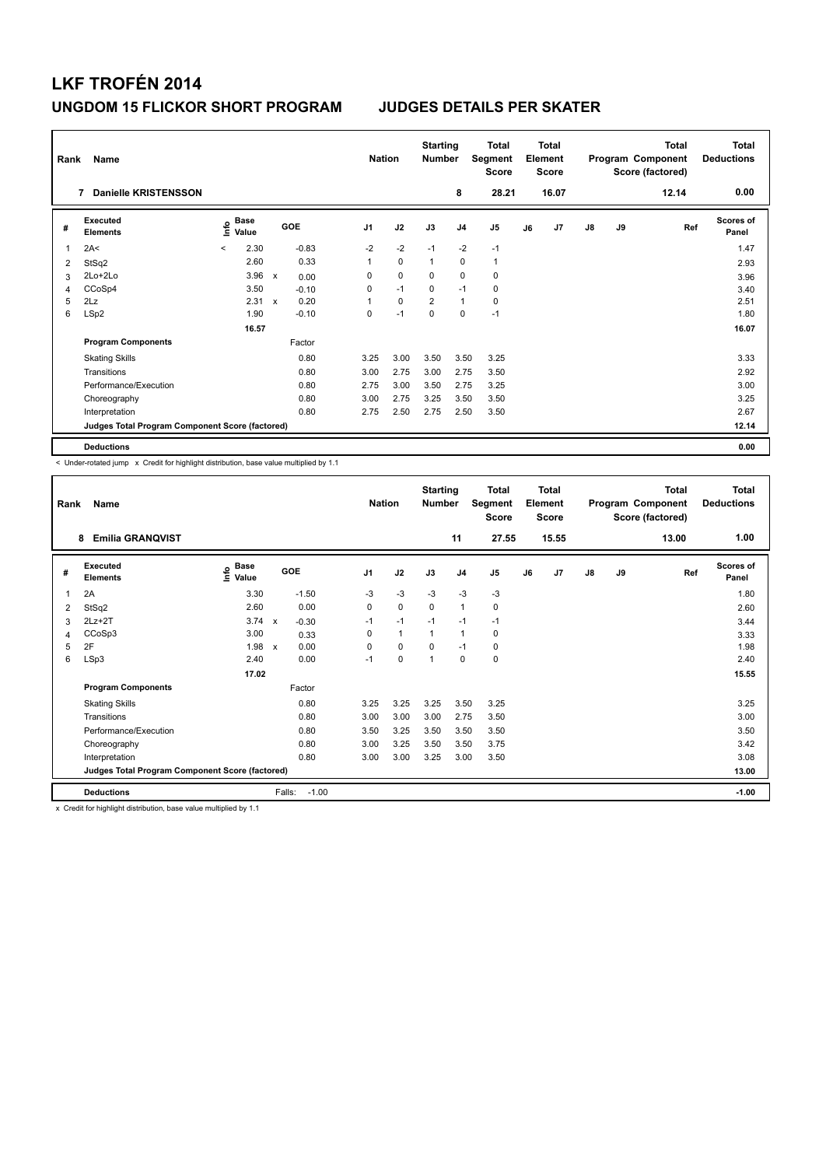| Rank | Name                                            |         |               |                           |         |                | <b>Nation</b> | <b>Starting</b><br><b>Number</b> |                | <b>Total</b><br>Segment<br><b>Score</b> |    | <b>Total</b><br>Element<br><b>Score</b> |               |    | <b>Total</b><br>Program Component<br>Score (factored) | Total<br><b>Deductions</b> |
|------|-------------------------------------------------|---------|---------------|---------------------------|---------|----------------|---------------|----------------------------------|----------------|-----------------------------------------|----|-----------------------------------------|---------------|----|-------------------------------------------------------|----------------------------|
|      | <b>Danielle KRISTENSSON</b><br>7                |         |               |                           |         |                |               |                                  | 8              | 28.21                                   |    | 16.07                                   |               |    | 12.14                                                 | 0.00                       |
| #    | Executed<br><b>Elements</b>                     | ۴       | Base<br>Value |                           | GOE     | J <sub>1</sub> | J2            | J3                               | J <sub>4</sub> | J <sub>5</sub>                          | J6 | J7                                      | $\mathsf{J}8$ | J9 | Ref                                                   | <b>Scores of</b><br>Panel  |
| 1    | 2A<                                             | $\prec$ | 2.30          |                           | $-0.83$ | $-2$           | $-2$          | $-1$                             | $-2$           | $-1$                                    |    |                                         |               |    |                                                       | 1.47                       |
| 2    | StSq2                                           |         | 2.60          |                           | 0.33    | 1              | $\mathbf 0$   | $\overline{1}$                   | $\mathbf 0$    | $\mathbf{1}$                            |    |                                         |               |    |                                                       | 2.93                       |
| 3    | 2Lo+2Lo                                         |         | 3.96          | $\boldsymbol{\mathsf{x}}$ | 0.00    | 0              | 0             | 0                                | 0              | 0                                       |    |                                         |               |    |                                                       | 3.96                       |
| 4    | CCoSp4                                          |         | 3.50          |                           | $-0.10$ | 0              | $-1$          | 0                                | $-1$           | 0                                       |    |                                         |               |    |                                                       | 3.40                       |
| 5    | 2Lz                                             |         | 2.31          | $\boldsymbol{\mathsf{x}}$ | 0.20    |                | $\mathbf 0$   | $\overline{2}$                   | $\mathbf{1}$   | $\mathbf 0$                             |    |                                         |               |    |                                                       | 2.51                       |
| 6    | LSp2                                            |         | 1.90          |                           | $-0.10$ | 0              | $-1$          | 0                                | 0              | $-1$                                    |    |                                         |               |    |                                                       | 1.80                       |
|      |                                                 |         | 16.57         |                           |         |                |               |                                  |                |                                         |    |                                         |               |    |                                                       | 16.07                      |
|      | <b>Program Components</b>                       |         |               |                           | Factor  |                |               |                                  |                |                                         |    |                                         |               |    |                                                       |                            |
|      | <b>Skating Skills</b>                           |         |               |                           | 0.80    | 3.25           | 3.00          | 3.50                             | 3.50           | 3.25                                    |    |                                         |               |    |                                                       | 3.33                       |
|      | Transitions                                     |         |               |                           | 0.80    | 3.00           | 2.75          | 3.00                             | 2.75           | 3.50                                    |    |                                         |               |    |                                                       | 2.92                       |
|      | Performance/Execution                           |         |               |                           | 0.80    | 2.75           | 3.00          | 3.50                             | 2.75           | 3.25                                    |    |                                         |               |    |                                                       | 3.00                       |
|      | Choreography                                    |         |               |                           | 0.80    | 3.00           | 2.75          | 3.25                             | 3.50           | 3.50                                    |    |                                         |               |    |                                                       | 3.25                       |
|      | Interpretation                                  |         |               |                           | 0.80    | 2.75           | 2.50          | 2.75                             | 2.50           | 3.50                                    |    |                                         |               |    |                                                       | 2.67                       |
|      | Judges Total Program Component Score (factored) |         |               |                           |         |                |               |                                  |                |                                         |    |                                         |               |    |                                                       | 12.14                      |
|      | <b>Deductions</b>                               |         |               |                           |         |                |               |                                  |                |                                         |    |                                         |               |    |                                                       | 0.00                       |

< Under-rotated jump x Credit for highlight distribution, base value multiplied by 1.1

| Rank | Name                                            |                       |                         | <b>Nation</b>  |              | <b>Starting</b><br><b>Number</b> |                | <b>Total</b><br>Segment<br><b>Score</b> |    | <b>Total</b><br>Element<br><b>Score</b> |               |    | <b>Total</b><br>Program Component<br>Score (factored) | <b>Total</b><br><b>Deductions</b> |
|------|-------------------------------------------------|-----------------------|-------------------------|----------------|--------------|----------------------------------|----------------|-----------------------------------------|----|-----------------------------------------|---------------|----|-------------------------------------------------------|-----------------------------------|
|      | <b>Emilia GRANQVIST</b><br>8                    |                       |                         |                |              |                                  | 11             | 27.55                                   |    | 15.55                                   |               |    | 13.00                                                 | 1.00                              |
| #    | Executed<br><b>Elements</b>                     | $\sum_{i=1}^{n}$ Base | GOE                     | J <sub>1</sub> | J2           | J3                               | J <sub>4</sub> | J <sub>5</sub>                          | J6 | J7                                      | $\mathsf{J}8$ | J9 | Ref                                                   | <b>Scores of</b><br>Panel         |
| 1    | 2A                                              | 3.30                  | $-1.50$                 | $-3$           | $-3$         | $-3$                             | $-3$           | $-3$                                    |    |                                         |               |    |                                                       | 1.80                              |
| 2    | StSq2                                           | 2.60                  | 0.00                    | 0              | $\mathbf 0$  | $\mathbf 0$                      | 1              | 0                                       |    |                                         |               |    |                                                       | 2.60                              |
| 3    | $2Lz+2T$                                        | 3.74                  | $-0.30$<br>$\mathsf{x}$ | $-1$           | $-1$         | $-1$                             | $-1$           | $-1$                                    |    |                                         |               |    |                                                       | 3.44                              |
| 4    | CCoSp3                                          | 3.00                  | 0.33                    | 0              | $\mathbf{1}$ | 1                                | 1              | 0                                       |    |                                         |               |    |                                                       | 3.33                              |
| 5    | 2F                                              | 1.98                  | 0.00<br>$\mathsf{x}$    | $\Omega$       | $\Omega$     | $\Omega$                         | $-1$           | 0                                       |    |                                         |               |    |                                                       | 1.98                              |
| 6    | LSp3                                            | 2.40                  | 0.00                    | $-1$           | $\mathbf 0$  | 1                                | 0              | 0                                       |    |                                         |               |    |                                                       | 2.40                              |
|      |                                                 | 17.02                 |                         |                |              |                                  |                |                                         |    |                                         |               |    |                                                       | 15.55                             |
|      | <b>Program Components</b>                       |                       | Factor                  |                |              |                                  |                |                                         |    |                                         |               |    |                                                       |                                   |
|      | <b>Skating Skills</b>                           |                       | 0.80                    | 3.25           | 3.25         | 3.25                             | 3.50           | 3.25                                    |    |                                         |               |    |                                                       | 3.25                              |
|      | Transitions                                     |                       | 0.80                    | 3.00           | 3.00         | 3.00                             | 2.75           | 3.50                                    |    |                                         |               |    |                                                       | 3.00                              |
|      | Performance/Execution                           |                       | 0.80                    | 3.50           | 3.25         | 3.50                             | 3.50           | 3.50                                    |    |                                         |               |    |                                                       | 3.50                              |
|      | Choreography                                    |                       | 0.80                    | 3.00           | 3.25         | 3.50                             | 3.50           | 3.75                                    |    |                                         |               |    |                                                       | 3.42                              |
|      | Interpretation                                  |                       | 0.80                    | 3.00           | 3.00         | 3.25                             | 3.00           | 3.50                                    |    |                                         |               |    |                                                       | 3.08                              |
|      | Judges Total Program Component Score (factored) |                       |                         |                |              |                                  |                |                                         |    |                                         |               |    |                                                       | 13.00                             |
|      | <b>Deductions</b>                               |                       | $-1.00$<br>Falls:       |                |              |                                  |                |                                         |    |                                         |               |    |                                                       | $-1.00$                           |

x Credit for highlight distribution, base value multiplied by 1.1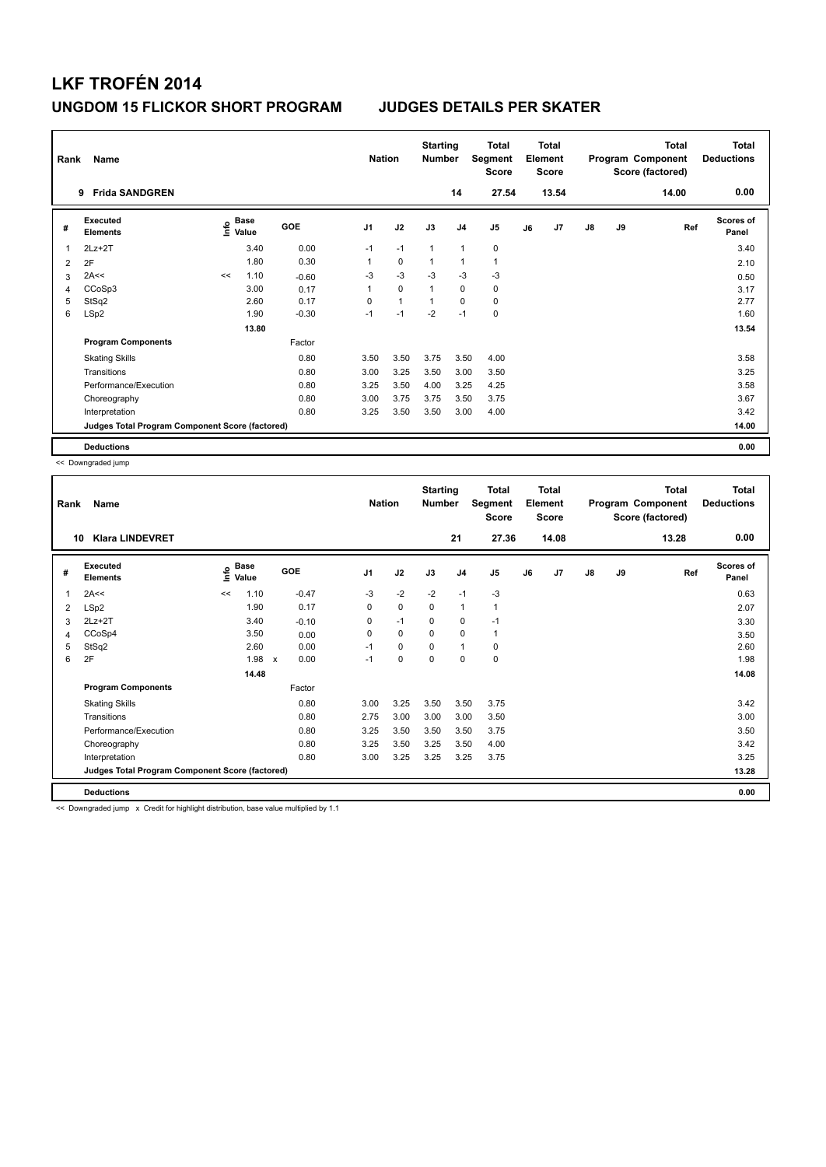| Rank | Name                                            |      | <b>Nation</b> |         | <b>Starting</b><br><b>Number</b> |                | <b>Total</b><br>Segment<br><b>Score</b> |                | <b>Total</b><br>Element<br><b>Score</b> |    |       | Total<br>Program Component<br>Score (factored) | <b>Total</b><br><b>Deductions</b> |       |                           |
|------|-------------------------------------------------|------|---------------|---------|----------------------------------|----------------|-----------------------------------------|----------------|-----------------------------------------|----|-------|------------------------------------------------|-----------------------------------|-------|---------------------------|
|      | <b>Frida SANDGREN</b><br>9                      |      |               |         |                                  |                |                                         | 14             | 27.54                                   |    | 13.54 |                                                |                                   | 14.00 | 0.00                      |
| #    | Executed<br><b>Elements</b>                     | lnfo | Base<br>Value | GOE     | J <sub>1</sub>                   | J2             | J3                                      | J <sub>4</sub> | J <sub>5</sub>                          | J6 | J7    | $\mathsf{J}8$                                  | J9                                | Ref   | <b>Scores of</b><br>Panel |
| 1    | $2Lz+2T$                                        |      | 3.40          | 0.00    | $-1$                             | $-1$           | $\overline{1}$                          | $\mathbf{1}$   | 0                                       |    |       |                                                |                                   |       | 3.40                      |
| 2    | 2F                                              |      | 1.80          | 0.30    | 1                                | $\mathbf 0$    | $\overline{1}$                          | $\overline{1}$ | $\mathbf{1}$                            |    |       |                                                |                                   |       | 2.10                      |
| 3    | 2A<<                                            | <<   | 1.10          | $-0.60$ | -3                               | $-3$           | $-3$                                    | $-3$           | -3                                      |    |       |                                                |                                   |       | 0.50                      |
| 4    | CCoSp3                                          |      | 3.00          | 0.17    | 1                                | $\Omega$       | $\overline{1}$                          | $\mathbf 0$    | 0                                       |    |       |                                                |                                   |       | 3.17                      |
| 5    | StSq2                                           |      | 2.60          | 0.17    | $\Omega$                         | $\overline{1}$ | $\overline{1}$                          | $\mathbf 0$    | $\mathbf 0$                             |    |       |                                                |                                   |       | 2.77                      |
| 6    | LSp2                                            |      | 1.90          | $-0.30$ | $-1$                             | $-1$           | $-2$                                    | $-1$           | $\mathbf 0$                             |    |       |                                                |                                   |       | 1.60                      |
|      |                                                 |      | 13.80         |         |                                  |                |                                         |                |                                         |    |       |                                                |                                   |       | 13.54                     |
|      | <b>Program Components</b>                       |      |               | Factor  |                                  |                |                                         |                |                                         |    |       |                                                |                                   |       |                           |
|      | <b>Skating Skills</b>                           |      |               | 0.80    | 3.50                             | 3.50           | 3.75                                    | 3.50           | 4.00                                    |    |       |                                                |                                   |       | 3.58                      |
|      | Transitions                                     |      |               | 0.80    | 3.00                             | 3.25           | 3.50                                    | 3.00           | 3.50                                    |    |       |                                                |                                   |       | 3.25                      |
|      | Performance/Execution                           |      |               | 0.80    | 3.25                             | 3.50           | 4.00                                    | 3.25           | 4.25                                    |    |       |                                                |                                   |       | 3.58                      |
|      | Choreography                                    |      |               | 0.80    | 3.00                             | 3.75           | 3.75                                    | 3.50           | 3.75                                    |    |       |                                                |                                   |       | 3.67                      |
|      | Interpretation                                  |      |               | 0.80    | 3.25                             | 3.50           | 3.50                                    | 3.00           | 4.00                                    |    |       |                                                |                                   |       | 3.42                      |
|      | Judges Total Program Component Score (factored) |      |               |         |                                  |                |                                         |                |                                         |    |       |                                                |                                   |       | 14.00                     |
|      | <b>Deductions</b>                               |      |               |         |                                  |                |                                         |                |                                         |    |       |                                                |                                   |       | 0.00                      |

<< Downgraded jump

| Rank | Name<br><b>Klara LINDEVRET</b><br>10            |    |                          |                      |                | <b>Nation</b> | <b>Starting</b><br><b>Number</b> | 21             | <b>Total</b><br>Segment<br><b>Score</b><br>27.36 |    | <b>Total</b><br>Element<br><b>Score</b><br>14.08 |               |    | <b>Total</b><br>Program Component<br>Score (factored)<br>13.28 | Total<br><b>Deductions</b><br>0.00 |
|------|-------------------------------------------------|----|--------------------------|----------------------|----------------|---------------|----------------------------------|----------------|--------------------------------------------------|----|--------------------------------------------------|---------------|----|----------------------------------------------------------------|------------------------------------|
| #    | Executed<br><b>Elements</b>                     | Ĭ  | $_{\circ}$ Base<br>Value | <b>GOE</b>           | J <sub>1</sub> | J2            | J3                               | J <sub>4</sub> | J <sub>5</sub>                                   | J6 | J7                                               | $\mathsf{J}8$ | J9 | Ref                                                            | <b>Scores of</b><br>Panel          |
| 1    | 2A<<                                            | << | 1.10                     | $-0.47$              | $-3$           | $-2$          | $-2$                             | $-1$           | $-3$                                             |    |                                                  |               |    |                                                                | 0.63                               |
| 2    | LSp2                                            |    | 1.90                     | 0.17                 | 0              | 0             | 0                                | 1              | 1                                                |    |                                                  |               |    |                                                                | 2.07                               |
| 3    | $2Lz+2T$                                        |    | 3.40                     | $-0.10$              | 0              | $-1$          | 0                                | $\mathbf 0$    | $-1$                                             |    |                                                  |               |    |                                                                | 3.30                               |
| 4    | CCoSp4                                          |    | 3.50                     | 0.00                 | 0              | $\mathbf 0$   | 0                                | $\mathbf 0$    | $\mathbf{1}$                                     |    |                                                  |               |    |                                                                | 3.50                               |
| 5    | StSq2                                           |    | 2.60                     | 0.00                 | $-1$           | 0             | 0                                | $\mathbf{1}$   | 0                                                |    |                                                  |               |    |                                                                | 2.60                               |
| 6    | 2F                                              |    | 1.98                     | 0.00<br>$\mathsf{x}$ | $-1$           | 0             | 0                                | 0              | 0                                                |    |                                                  |               |    |                                                                | 1.98                               |
|      |                                                 |    | 14.48                    |                      |                |               |                                  |                |                                                  |    |                                                  |               |    |                                                                | 14.08                              |
|      | <b>Program Components</b>                       |    |                          | Factor               |                |               |                                  |                |                                                  |    |                                                  |               |    |                                                                |                                    |
|      | <b>Skating Skills</b>                           |    |                          | 0.80                 | 3.00           | 3.25          | 3.50                             | 3.50           | 3.75                                             |    |                                                  |               |    |                                                                | 3.42                               |
|      | Transitions                                     |    |                          | 0.80                 | 2.75           | 3.00          | 3.00                             | 3.00           | 3.50                                             |    |                                                  |               |    |                                                                | 3.00                               |
|      | Performance/Execution                           |    |                          | 0.80                 | 3.25           | 3.50          | 3.50                             | 3.50           | 3.75                                             |    |                                                  |               |    |                                                                | 3.50                               |
|      | Choreography                                    |    |                          | 0.80                 | 3.25           | 3.50          | 3.25                             | 3.50           | 4.00                                             |    |                                                  |               |    |                                                                | 3.42                               |
|      | Interpretation                                  |    |                          | 0.80                 | 3.00           | 3.25          | 3.25                             | 3.25           | 3.75                                             |    |                                                  |               |    |                                                                | 3.25                               |
|      | Judges Total Program Component Score (factored) |    |                          |                      |                |               |                                  |                |                                                  |    |                                                  |               |    |                                                                | 13.28                              |
|      | <b>Deductions</b>                               |    |                          |                      |                |               |                                  |                |                                                  |    |                                                  |               |    |                                                                | 0.00                               |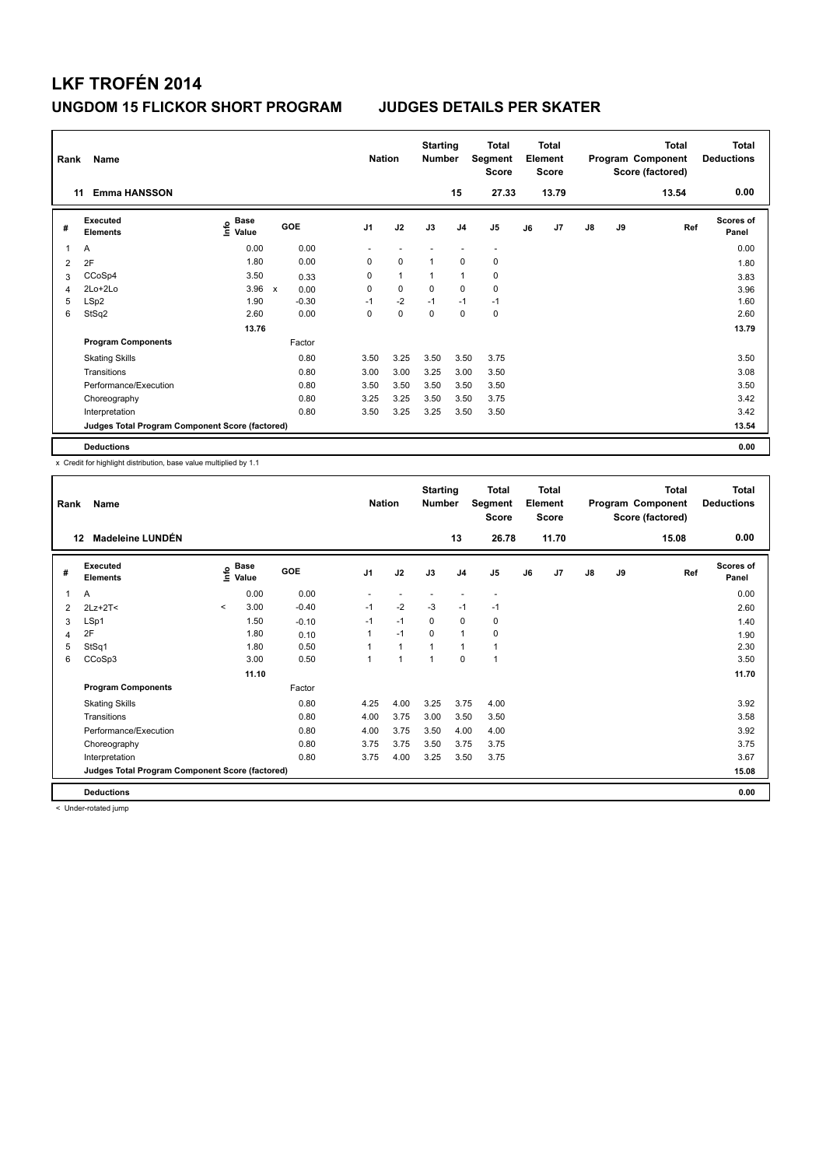|   | Name<br>Rank<br><b>Emma HANSSON</b><br>11       |                              |             |         |                          | <b>Nation</b> |                          | <b>Starting</b><br><b>Number</b> |                | Total<br>Segment<br><b>Score</b> |    | <b>Total</b><br>Element<br><b>Score</b> |               |    | Total<br>Program Component<br>Score (factored) | Total<br><b>Deductions</b> |
|---|-------------------------------------------------|------------------------------|-------------|---------|--------------------------|---------------|--------------------------|----------------------------------|----------------|----------------------------------|----|-----------------------------------------|---------------|----|------------------------------------------------|----------------------------|
|   |                                                 |                              |             |         |                          |               |                          |                                  | 15             | 27.33                            |    | 13.79                                   |               |    | 13.54                                          | 0.00                       |
| # | <b>Executed</b><br><b>Elements</b>              | <b>Base</b><br>lnfo<br>Value |             | GOE     | J <sub>1</sub>           |               | J2                       | J3                               | J <sub>4</sub> | J <sub>5</sub>                   | J6 | J7                                      | $\mathsf{J}8$ | J9 | Ref                                            | <b>Scores of</b><br>Panel  |
| 1 | A                                               | 0.00                         |             | 0.00    | $\overline{\phantom{a}}$ |               | $\overline{\phantom{a}}$ |                                  |                | $\overline{\phantom{a}}$         |    |                                         |               |    |                                                | 0.00                       |
| 2 | 2F                                              | 1.80                         |             | 0.00    | 0                        |               | 0                        | $\mathbf{1}$                     | 0              | 0                                |    |                                         |               |    |                                                | 1.80                       |
| 3 | CCoSp4                                          | 3.50                         |             | 0.33    | 0                        |               | $\mathbf{1}$             | $\mathbf 1$                      | $\mathbf{1}$   | 0                                |    |                                         |               |    |                                                | 3.83                       |
| 4 | $2Lo+2Lo$                                       | 3.96                         | $\mathbf x$ | 0.00    | 0                        |               | 0                        | $\Omega$                         | 0              | 0                                |    |                                         |               |    |                                                | 3.96                       |
| 5 | LSp2                                            | 1.90                         |             | $-0.30$ | $-1$                     |               | $-2$                     | $-1$                             | $-1$           | $-1$                             |    |                                         |               |    |                                                | 1.60                       |
| 6 | StSq2                                           | 2.60                         |             | 0.00    | 0                        |               | $\mathbf 0$              | $\mathbf 0$                      | $\mathbf 0$    | $\mathbf 0$                      |    |                                         |               |    |                                                | 2.60                       |
|   |                                                 | 13.76                        |             |         |                          |               |                          |                                  |                |                                  |    |                                         |               |    |                                                | 13.79                      |
|   | <b>Program Components</b>                       |                              |             | Factor  |                          |               |                          |                                  |                |                                  |    |                                         |               |    |                                                |                            |
|   | <b>Skating Skills</b>                           |                              |             | 0.80    | 3.50                     |               | 3.25                     | 3.50                             | 3.50           | 3.75                             |    |                                         |               |    |                                                | 3.50                       |
|   | Transitions                                     |                              |             | 0.80    | 3.00                     |               | 3.00                     | 3.25                             | 3.00           | 3.50                             |    |                                         |               |    |                                                | 3.08                       |
|   | Performance/Execution                           |                              |             | 0.80    | 3.50                     |               | 3.50                     | 3.50                             | 3.50           | 3.50                             |    |                                         |               |    |                                                | 3.50                       |
|   | Choreography                                    |                              |             | 0.80    | 3.25                     |               | 3.25                     | 3.50                             | 3.50           | 3.75                             |    |                                         |               |    |                                                | 3.42                       |
|   | Interpretation                                  |                              |             | 0.80    | 3.50                     |               | 3.25                     | 3.25                             | 3.50           | 3.50                             |    |                                         |               |    |                                                | 3.42                       |
|   | Judges Total Program Component Score (factored) |                              |             |         |                          |               |                          |                                  |                |                                  |    |                                         |               |    |                                                | 13.54                      |
|   | <b>Deductions</b>                               |                              |             |         |                          |               |                          |                                  |                |                                  |    |                                         |               |    |                                                | 0.00                       |

x Credit for highlight distribution, base value multiplied by 1.1

| Rank | Name                                            |         |                      |            | <b>Nation</b>            |              | <b>Starting</b><br><b>Number</b> |                | <b>Total</b><br>Segment<br><b>Score</b> |    | <b>Total</b><br>Element<br><b>Score</b> |               |    | <b>Total</b><br>Program Component<br>Score (factored) | <b>Total</b><br><b>Deductions</b> |
|------|-------------------------------------------------|---------|----------------------|------------|--------------------------|--------------|----------------------------------|----------------|-----------------------------------------|----|-----------------------------------------|---------------|----|-------------------------------------------------------|-----------------------------------|
| 12   | <b>Madeleine LUNDÉN</b>                         |         |                      |            |                          |              |                                  | 13             | 26.78                                   |    | 11.70                                   |               |    | 15.08                                                 | 0.00                              |
| #    | Executed<br><b>Elements</b>                     | lnfo    | <b>Base</b><br>Value | <b>GOE</b> | J <sub>1</sub>           | J2           | J3                               | J <sub>4</sub> | J5                                      | J6 | J7                                      | $\mathsf{J}8$ | J9 | Ref                                                   | <b>Scores of</b><br>Panel         |
| 1    | A                                               |         | 0.00                 | 0.00       | $\overline{\phantom{a}}$ |              |                                  |                | $\overline{\phantom{a}}$                |    |                                         |               |    |                                                       | 0.00                              |
| 2    | $2Lz+2T2$                                       | $\prec$ | 3.00                 | $-0.40$    | $-1$                     | $-2$         | $-3$                             | $-1$           | $-1$                                    |    |                                         |               |    |                                                       | 2.60                              |
| 3    | LSp1                                            |         | 1.50                 | $-0.10$    | $-1$                     | $-1$         | $\Omega$                         | 0              | 0                                       |    |                                         |               |    |                                                       | 1.40                              |
| 4    | 2F                                              |         | 1.80                 | 0.10       |                          | $-1$         | 0                                | 1              | 0                                       |    |                                         |               |    |                                                       | 1.90                              |
| 5    | StSq1                                           |         | 1.80                 | 0.50       |                          | $\mathbf{1}$ | 1                                | 1              | 1                                       |    |                                         |               |    |                                                       | 2.30                              |
| 6    | CCoSp3                                          |         | 3.00                 | 0.50       | $\overline{1}$           | 1            | 1                                | 0              | 1                                       |    |                                         |               |    |                                                       | 3.50                              |
|      |                                                 |         | 11.10                |            |                          |              |                                  |                |                                         |    |                                         |               |    |                                                       | 11.70                             |
|      | <b>Program Components</b>                       |         |                      | Factor     |                          |              |                                  |                |                                         |    |                                         |               |    |                                                       |                                   |
|      | <b>Skating Skills</b>                           |         |                      | 0.80       | 4.25                     | 4.00         | 3.25                             | 3.75           | 4.00                                    |    |                                         |               |    |                                                       | 3.92                              |
|      | Transitions                                     |         |                      | 0.80       | 4.00                     | 3.75         | 3.00                             | 3.50           | 3.50                                    |    |                                         |               |    |                                                       | 3.58                              |
|      | Performance/Execution                           |         |                      | 0.80       | 4.00                     | 3.75         | 3.50                             | 4.00           | 4.00                                    |    |                                         |               |    |                                                       | 3.92                              |
|      | Choreography                                    |         |                      | 0.80       | 3.75                     | 3.75         | 3.50                             | 3.75           | 3.75                                    |    |                                         |               |    |                                                       | 3.75                              |
|      | Interpretation                                  |         |                      | 0.80       | 3.75                     | 4.00         | 3.25                             | 3.50           | 3.75                                    |    |                                         |               |    |                                                       | 3.67                              |
|      | Judges Total Program Component Score (factored) |         |                      |            |                          |              |                                  |                |                                         |    |                                         |               |    | 15.08                                                 |                                   |
|      | <b>Deductions</b>                               |         |                      |            |                          |              |                                  |                |                                         |    |                                         |               |    |                                                       | 0.00                              |

< Under-rotated jump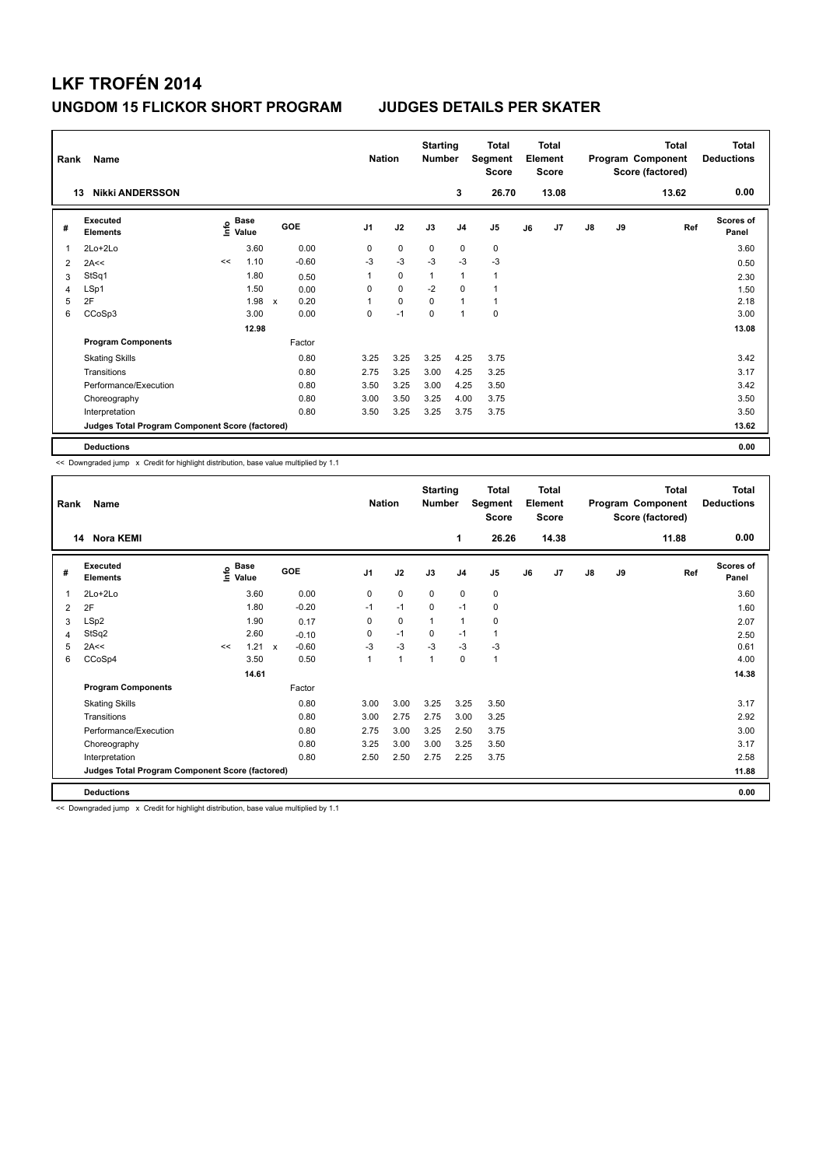| Rank           | Name<br><b>Nikki ANDERSSON</b><br>13            |      |                      |                           |         |                | <b>Nation</b> | <b>Starting</b><br><b>Number</b> |                | Total<br>Segment<br><b>Score</b> |    | <b>Total</b><br>Element<br><b>Score</b> |               |    | <b>Total</b><br>Program Component<br>Score (factored) | <b>Total</b><br><b>Deductions</b> |
|----------------|-------------------------------------------------|------|----------------------|---------------------------|---------|----------------|---------------|----------------------------------|----------------|----------------------------------|----|-----------------------------------------|---------------|----|-------------------------------------------------------|-----------------------------------|
|                |                                                 |      |                      |                           |         |                |               |                                  | 3              | 26.70                            |    | 13.08                                   |               |    | 13.62                                                 | 0.00                              |
| #              | <b>Executed</b><br><b>Elements</b>              | lnfo | <b>Base</b><br>Value |                           | GOE     | J <sub>1</sub> | J2            | J3                               | J <sub>4</sub> | J <sub>5</sub>                   | J6 | J7                                      | $\mathsf{J}8$ | J9 | Ref                                                   | <b>Scores of</b><br>Panel         |
| $\overline{1}$ | $2Lo+2Lo$                                       |      | 3.60                 |                           | 0.00    | 0              | $\mathbf 0$   | $\mathbf 0$                      | $\mathbf 0$    | 0                                |    |                                         |               |    |                                                       | 3.60                              |
| 2              | 2A<<                                            | <<   | 1.10                 |                           | $-0.60$ | -3             | $-3$          | $-3$                             | $-3$           | $-3$                             |    |                                         |               |    |                                                       | 0.50                              |
| 3              | StSq1                                           |      | 1.80                 |                           | 0.50    | 1              | $\pmb{0}$     | $\mathbf{1}$                     | $\mathbf{1}$   | $\mathbf{1}$                     |    |                                         |               |    |                                                       | 2.30                              |
| 4              | LSp1                                            |      | 1.50                 |                           | 0.00    | 0              | $\mathbf 0$   | $-2$                             | 0              | 1                                |    |                                         |               |    |                                                       | 1.50                              |
| 5              | 2F                                              |      | 1.98                 | $\boldsymbol{\mathsf{x}}$ | 0.20    |                | $\mathbf 0$   | $\Omega$                         | $\mathbf{1}$   | $\mathbf{1}$                     |    |                                         |               |    |                                                       | 2.18                              |
| 6              | CCoSp3                                          |      | 3.00                 |                           | 0.00    | 0              | $-1$          | 0                                | $\overline{1}$ | $\mathbf 0$                      |    |                                         |               |    |                                                       | 3.00                              |
|                |                                                 |      | 12.98                |                           |         |                |               |                                  |                |                                  |    |                                         |               |    |                                                       | 13.08                             |
|                | <b>Program Components</b>                       |      |                      |                           | Factor  |                |               |                                  |                |                                  |    |                                         |               |    |                                                       |                                   |
|                | <b>Skating Skills</b>                           |      |                      |                           | 0.80    | 3.25           | 3.25          | 3.25                             | 4.25           | 3.75                             |    |                                         |               |    |                                                       | 3.42                              |
|                | Transitions                                     |      |                      |                           | 0.80    | 2.75           | 3.25          | 3.00                             | 4.25           | 3.25                             |    |                                         |               |    |                                                       | 3.17                              |
|                | Performance/Execution                           |      |                      |                           | 0.80    | 3.50           | 3.25          | 3.00                             | 4.25           | 3.50                             |    |                                         |               |    |                                                       | 3.42                              |
|                | Choreography                                    |      |                      |                           | 0.80    | 3.00           | 3.50          | 3.25                             | 4.00           | 3.75                             |    |                                         |               |    |                                                       | 3.50                              |
|                | Interpretation                                  |      |                      |                           | 0.80    | 3.50           | 3.25          | 3.25                             | 3.75           | 3.75                             |    |                                         |               |    |                                                       | 3.50                              |
|                | Judges Total Program Component Score (factored) |      |                      |                           |         |                |               |                                  |                |                                  |    |                                         |               |    |                                                       | 13.62                             |
|                | <b>Deductions</b>                               |      |                      |                           |         |                |               |                                  |                |                                  |    |                                         |               |    |                                                       | 0.00                              |

<< Downgraded jump x Credit for highlight distribution, base value multiplied by 1.1

| Rank | Name                                            |    |                           |              |            |                | <b>Nation</b>  | <b>Starting</b><br><b>Number</b> |                | <b>Total</b><br>Segment<br><b>Score</b> |    | <b>Total</b><br>Element<br><b>Score</b> |               |    | <b>Total</b><br>Program Component<br>Score (factored) | <b>Total</b><br><b>Deductions</b><br>0.00 |
|------|-------------------------------------------------|----|---------------------------|--------------|------------|----------------|----------------|----------------------------------|----------------|-----------------------------------------|----|-----------------------------------------|---------------|----|-------------------------------------------------------|-------------------------------------------|
|      | 14 Nora KEMI                                    |    |                           |              |            |                |                |                                  | 1              | 26.26                                   |    | 14.38                                   |               |    | 11.88                                                 |                                           |
| #    | Executed<br><b>Elements</b>                     |    | Base<br>e Base<br>E Value |              | <b>GOE</b> | J <sub>1</sub> | J2             | J3                               | J <sub>4</sub> | J5                                      | J6 | J7                                      | $\mathsf{J}8$ | J9 | Ref                                                   | <b>Scores of</b><br>Panel                 |
| 1    | $2Lo+2Lo$                                       |    | 3.60                      |              | 0.00       | 0              | $\mathbf 0$    | $\mathbf 0$                      | $\mathbf 0$    | 0                                       |    |                                         |               |    |                                                       | 3.60                                      |
| 2    | 2F                                              |    | 1.80                      |              | $-0.20$    | $-1$           | $-1$           | 0                                | $-1$           | 0                                       |    |                                         |               |    |                                                       | 1.60                                      |
| 3    | LSp2                                            |    | 1.90                      |              | 0.17       | 0              | $\mathbf 0$    | $\mathbf{1}$                     | $\mathbf{1}$   | 0                                       |    |                                         |               |    |                                                       | 2.07                                      |
| 4    | StSq2                                           |    | 2.60                      |              | $-0.10$    | 0              | $-1$           | $\mathbf 0$                      | $-1$           | 1                                       |    |                                         |               |    |                                                       | 2.50                                      |
| 5    | 2A<<                                            | << | 1.21                      | $\mathsf{x}$ | $-0.60$    | $-3$           | $-3$           | $-3$                             | $-3$           | $-3$                                    |    |                                         |               |    |                                                       | 0.61                                      |
| 6    | CCoSp4                                          |    | 3.50                      |              | 0.50       | $\mathbf{1}$   | $\overline{1}$ | $\mathbf{1}$                     | $\mathbf 0$    | $\mathbf{1}$                            |    |                                         |               |    |                                                       | 4.00                                      |
|      |                                                 |    | 14.61                     |              |            |                |                |                                  |                |                                         |    |                                         |               |    |                                                       | 14.38                                     |
|      | <b>Program Components</b>                       |    |                           |              | Factor     |                |                |                                  |                |                                         |    |                                         |               |    |                                                       |                                           |
|      | <b>Skating Skills</b>                           |    |                           |              | 0.80       | 3.00           | 3.00           | 3.25                             | 3.25           | 3.50                                    |    |                                         |               |    |                                                       | 3.17                                      |
|      | Transitions                                     |    |                           |              | 0.80       | 3.00           | 2.75           | 2.75                             | 3.00           | 3.25                                    |    |                                         |               |    |                                                       | 2.92                                      |
|      | Performance/Execution                           |    |                           |              | 0.80       | 2.75           | 3.00           | 3.25                             | 2.50           | 3.75                                    |    |                                         |               |    |                                                       | 3.00                                      |
|      | Choreography                                    |    |                           |              | 0.80       | 3.25           | 3.00           | 3.00                             | 3.25           | 3.50                                    |    |                                         |               |    |                                                       | 3.17                                      |
|      | Interpretation                                  |    |                           |              | 0.80       | 2.50           | 2.50           | 2.75                             | 2.25           | 3.75                                    |    |                                         |               |    |                                                       | 2.58                                      |
|      | Judges Total Program Component Score (factored) |    |                           |              |            |                |                |                                  |                |                                         |    |                                         |               |    |                                                       | 11.88                                     |
|      | <b>Deductions</b>                               |    |                           |              |            |                |                |                                  |                |                                         |    |                                         |               |    |                                                       | 0.00                                      |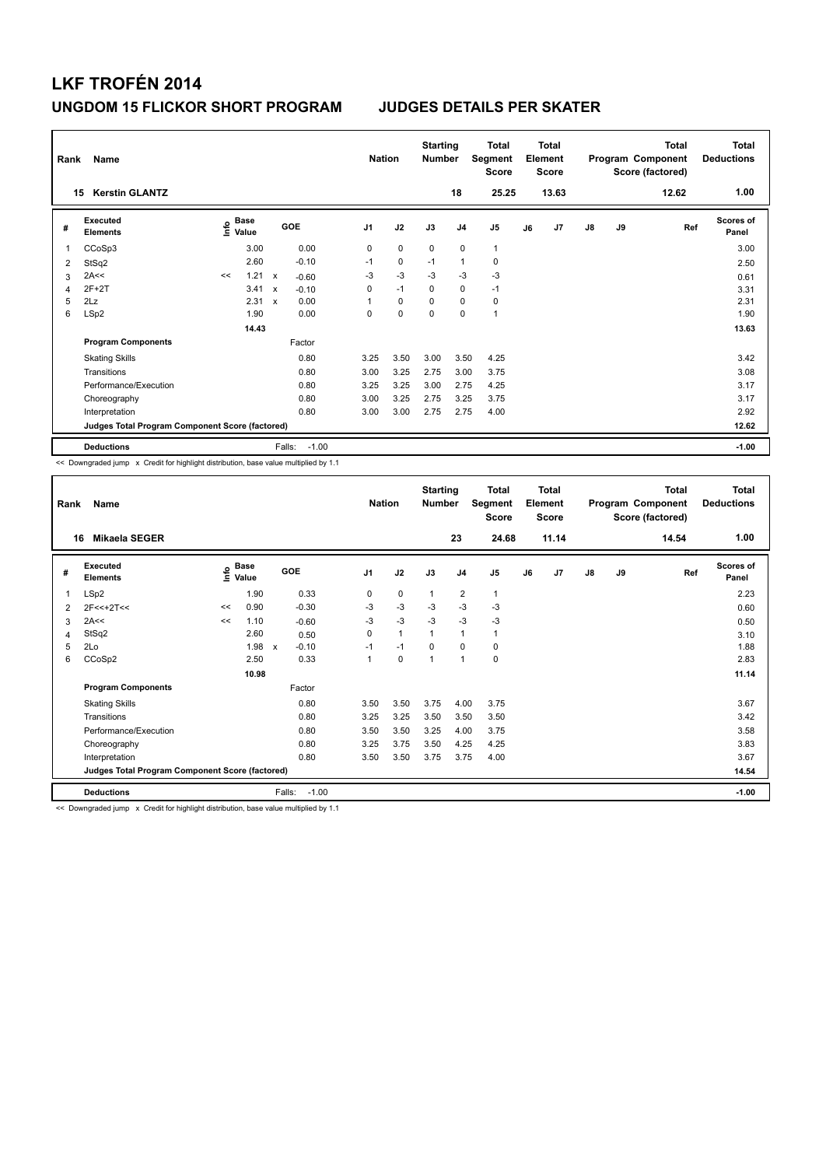| Rank | Name<br><b>Kerstin GLANTZ</b><br>15             |    |                                  |                           |         | <b>Nation</b>  |             | <b>Starting</b><br><b>Number</b> | 18             | <b>Total</b><br>Segment<br><b>Score</b><br>25.25 |    | <b>Total</b><br>Element<br><b>Score</b><br>13.63 |               |    | <b>Total</b><br>Program Component<br>Score (factored)<br>12.62 | Total<br><b>Deductions</b><br>1.00 |
|------|-------------------------------------------------|----|----------------------------------|---------------------------|---------|----------------|-------------|----------------------------------|----------------|--------------------------------------------------|----|--------------------------------------------------|---------------|----|----------------------------------------------------------------|------------------------------------|
| #    | Executed<br><b>Elements</b>                     |    | <b>Base</b><br>e Base<br>⊆ Value |                           | GOE     | J <sub>1</sub> | J2          | J3                               | J <sub>4</sub> | J5                                               | J6 | J7                                               | $\mathsf{J}8$ | J9 | Ref                                                            | Scores of<br>Panel                 |
| 1    | CCoSp3                                          |    | 3.00                             |                           | 0.00    | 0              | $\mathbf 0$ | $\mathbf 0$                      | $\mathbf 0$    | $\mathbf{1}$                                     |    |                                                  |               |    |                                                                | 3.00                               |
| 2    | StSq2                                           |    | 2.60                             |                           | $-0.10$ | $-1$           | $\mathbf 0$ | $-1$                             | $\mathbf{1}$   | 0                                                |    |                                                  |               |    |                                                                | 2.50                               |
| 3    | 2A<<                                            | << | 1.21                             | $\boldsymbol{\mathsf{x}}$ | $-0.60$ | $-3$           | $-3$        | $-3$                             | $-3$           | $-3$                                             |    |                                                  |               |    |                                                                | 0.61                               |
| 4    | $2F+2T$                                         |    | 3.41                             | X                         | $-0.10$ | 0              | $-1$        | $\mathbf 0$                      | $\mathbf 0$    | $-1$                                             |    |                                                  |               |    |                                                                | 3.31                               |
| 5    | 2Lz                                             |    | 2.31                             | $\boldsymbol{\mathsf{x}}$ | 0.00    | 1              | 0           | 0                                | 0              | 0                                                |    |                                                  |               |    |                                                                | 2.31                               |
| 6    | LSp2                                            |    | 1.90                             |                           | 0.00    | 0              | 0           | 0                                | 0              | $\mathbf{1}$                                     |    |                                                  |               |    |                                                                | 1.90                               |
|      |                                                 |    | 14.43                            |                           |         |                |             |                                  |                |                                                  |    |                                                  |               |    |                                                                | 13.63                              |
|      | <b>Program Components</b>                       |    |                                  |                           | Factor  |                |             |                                  |                |                                                  |    |                                                  |               |    |                                                                |                                    |
|      | <b>Skating Skills</b>                           |    |                                  |                           | 0.80    | 3.25           | 3.50        | 3.00                             | 3.50           | 4.25                                             |    |                                                  |               |    |                                                                | 3.42                               |
|      | Transitions                                     |    |                                  |                           | 0.80    | 3.00           | 3.25        | 2.75                             | 3.00           | 3.75                                             |    |                                                  |               |    |                                                                | 3.08                               |
|      | Performance/Execution                           |    |                                  |                           | 0.80    | 3.25           | 3.25        | 3.00                             | 2.75           | 4.25                                             |    |                                                  |               |    |                                                                | 3.17                               |
|      | Choreography                                    |    |                                  |                           | 0.80    | 3.00           | 3.25        | 2.75                             | 3.25           | 3.75                                             |    |                                                  |               |    |                                                                | 3.17                               |
|      | Interpretation                                  |    |                                  |                           | 0.80    | 3.00           | 3.00        | 2.75                             | 2.75           | 4.00                                             |    |                                                  |               |    |                                                                | 2.92                               |
|      | Judges Total Program Component Score (factored) |    |                                  |                           |         |                |             |                                  |                |                                                  |    |                                                  |               |    |                                                                | 12.62                              |
|      | <b>Deductions</b>                               |    |                                  | Falls:                    | $-1.00$ |                |             |                                  |                |                                                  |    |                                                  |               |    |                                                                | $-1.00$                            |

<< Downgraded jump x Credit for highlight distribution, base value multiplied by 1.1

| Rank           | Name                                            |    |                                  |                         | <b>Nation</b>  |              | <b>Starting</b><br><b>Number</b> |                | <b>Total</b><br>Segment<br><b>Score</b> |    | Total<br>Element<br><b>Score</b> |    |    | <b>Total</b><br>Program Component<br>Score (factored) | <b>Total</b><br><b>Deductions</b> |
|----------------|-------------------------------------------------|----|----------------------------------|-------------------------|----------------|--------------|----------------------------------|----------------|-----------------------------------------|----|----------------------------------|----|----|-------------------------------------------------------|-----------------------------------|
|                | <b>Mikaela SEGER</b><br>16                      |    |                                  |                         |                |              |                                  | 23             | 24.68                                   |    | 11.14                            |    |    | 14.54                                                 | 1.00                              |
| #              | <b>Executed</b><br><b>Elements</b>              |    | <b>Base</b><br>e Base<br>E Value | GOE                     | J <sub>1</sub> | J2           | J3                               | J <sub>4</sub> | J <sub>5</sub>                          | J6 | J <sub>7</sub>                   | J8 | J9 | Ref                                                   | <b>Scores of</b><br>Panel         |
| 1              | LSp2                                            |    | 1.90                             | 0.33                    | 0              | 0            | 1                                | 2              | 1                                       |    |                                  |    |    |                                                       | 2.23                              |
| $\overline{2}$ | $2F<<+2T<<$                                     | << | 0.90                             | $-0.30$                 | $-3$           | $-3$         | $-3$                             | $-3$           | $-3$                                    |    |                                  |    |    |                                                       | 0.60                              |
| 3              | 2A<<                                            | << | 1.10                             | $-0.60$                 | $-3$           | $-3$         | $-3$                             | $-3$           | $-3$                                    |    |                                  |    |    |                                                       | 0.50                              |
| 4              | StSq2                                           |    | 2.60                             | 0.50                    | $\Omega$       | $\mathbf{1}$ | 1                                | $\mathbf{1}$   | 1                                       |    |                                  |    |    |                                                       | 3.10                              |
| 5              | 2Lo                                             |    | 1.98                             | $-0.10$<br>$\mathsf{x}$ | $-1$           | $-1$         | $\Omega$                         | 0              | 0                                       |    |                                  |    |    |                                                       | 1.88                              |
| 6              | CCoSp2                                          |    | 2.50                             | 0.33                    | 1              | 0            | 1                                | $\mathbf{1}$   | 0                                       |    |                                  |    |    |                                                       | 2.83                              |
|                |                                                 |    | 10.98                            |                         |                |              |                                  |                |                                         |    |                                  |    |    |                                                       | 11.14                             |
|                | <b>Program Components</b>                       |    |                                  | Factor                  |                |              |                                  |                |                                         |    |                                  |    |    |                                                       |                                   |
|                | <b>Skating Skills</b>                           |    |                                  | 0.80                    | 3.50           | 3.50         | 3.75                             | 4.00           | 3.75                                    |    |                                  |    |    |                                                       | 3.67                              |
|                | Transitions                                     |    |                                  | 0.80                    | 3.25           | 3.25         | 3.50                             | 3.50           | 3.50                                    |    |                                  |    |    |                                                       | 3.42                              |
|                | Performance/Execution                           |    |                                  | 0.80                    | 3.50           | 3.50         | 3.25                             | 4.00           | 3.75                                    |    |                                  |    |    |                                                       | 3.58                              |
|                | Choreography                                    |    |                                  | 0.80                    | 3.25           | 3.75         | 3.50                             | 4.25           | 4.25                                    |    |                                  |    |    |                                                       | 3.83                              |
|                | Interpretation                                  |    |                                  | 0.80                    | 3.50           | 3.50         | 3.75                             | 3.75           | 4.00                                    |    |                                  |    |    |                                                       | 3.67                              |
|                | Judges Total Program Component Score (factored) |    |                                  |                         |                |              |                                  |                |                                         |    |                                  |    |    |                                                       | 14.54                             |
|                | <b>Deductions</b>                               |    |                                  | $-1.00$<br>Falls:       |                |              |                                  |                |                                         |    |                                  |    |    |                                                       | $-1.00$                           |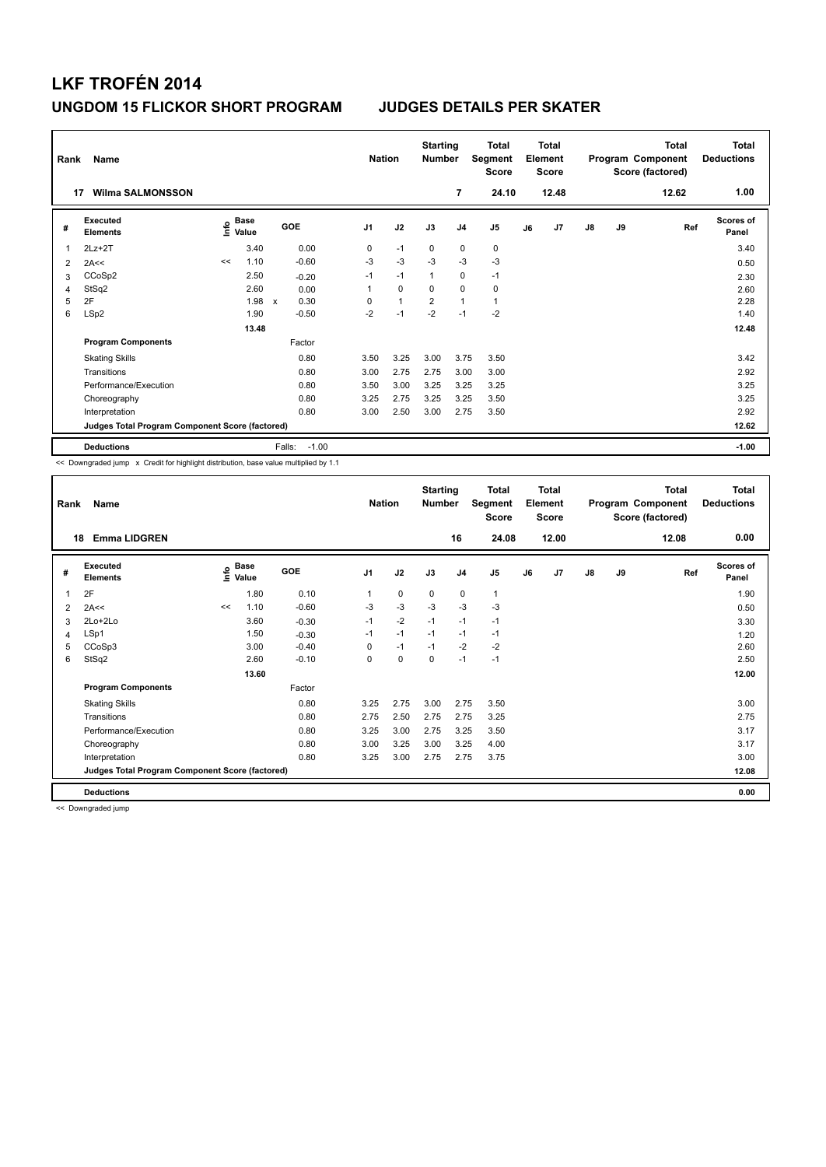| Rank<br>17     | Name<br><b>Wilma SALMONSSON</b>                 |                     |             |                      | <b>Nation</b>  |              | <b>Starting</b><br><b>Number</b> | 7              | <b>Total</b><br>Segment<br><b>Score</b><br>24.10 |    | <b>Total</b><br>Element<br><b>Score</b><br>12.48 |               |    | <b>Total</b><br>Program Component<br>Score (factored)<br>12.62 | <b>Total</b><br><b>Deductions</b><br>1.00 |
|----------------|-------------------------------------------------|---------------------|-------------|----------------------|----------------|--------------|----------------------------------|----------------|--------------------------------------------------|----|--------------------------------------------------|---------------|----|----------------------------------------------------------------|-------------------------------------------|
| #              | Executed<br><b>Elements</b>                     | $\frac{6}{5}$ Value | <b>Base</b> | GOE                  | J <sub>1</sub> | J2           | J3                               | J <sub>4</sub> | J <sub>5</sub>                                   | J6 | J7                                               | $\mathsf{J}8$ | J9 | Ref                                                            | <b>Scores of</b><br>Panel                 |
| $\overline{1}$ | $2Lz+2T$                                        |                     | 3.40        | 0.00                 | 0              | $-1$         | 0                                | $\mathbf 0$    | 0                                                |    |                                                  |               |    |                                                                | 3.40                                      |
| 2              | 2A<<                                            | <<                  | 1.10        | $-0.60$              | $-3$           | $-3$         | $-3$                             | $-3$           | $-3$                                             |    |                                                  |               |    |                                                                | 0.50                                      |
| 3              | CCoSp2                                          |                     | 2.50        | $-0.20$              | $-1$           | $-1$         | $\mathbf{1}$                     | $\mathbf 0$    | $-1$                                             |    |                                                  |               |    |                                                                | 2.30                                      |
| 4              | StSq2                                           |                     | 2.60        | 0.00                 | 1              | $\mathbf 0$  | 0                                | $\mathbf 0$    | 0                                                |    |                                                  |               |    |                                                                | 2.60                                      |
| 5              | 2F                                              |                     | 1.98        | 0.30<br>$\mathsf{x}$ | 0              | $\mathbf{1}$ | $\overline{2}$                   | $\mathbf{1}$   | $\mathbf{1}$                                     |    |                                                  |               |    |                                                                | 2.28                                      |
| 6              | LSp2                                            |                     | 1.90        | $-0.50$              | $-2$           | $-1$         | $-2$                             | $-1$           | $-2$                                             |    |                                                  |               |    |                                                                | 1.40                                      |
|                |                                                 |                     | 13.48       |                      |                |              |                                  |                |                                                  |    |                                                  |               |    |                                                                | 12.48                                     |
|                | <b>Program Components</b>                       |                     |             | Factor               |                |              |                                  |                |                                                  |    |                                                  |               |    |                                                                |                                           |
|                | <b>Skating Skills</b>                           |                     |             | 0.80                 | 3.50           | 3.25         | 3.00                             | 3.75           | 3.50                                             |    |                                                  |               |    |                                                                | 3.42                                      |
|                | Transitions                                     |                     |             | 0.80                 | 3.00           | 2.75         | 2.75                             | 3.00           | 3.00                                             |    |                                                  |               |    |                                                                | 2.92                                      |
|                | Performance/Execution                           |                     |             | 0.80                 | 3.50           | 3.00         | 3.25                             | 3.25           | 3.25                                             |    |                                                  |               |    |                                                                | 3.25                                      |
|                | Choreography                                    |                     |             | 0.80                 | 3.25           | 2.75         | 3.25                             | 3.25           | 3.50                                             |    |                                                  |               |    |                                                                | 3.25                                      |
|                | Interpretation                                  |                     |             | 0.80                 | 3.00           | 2.50         | 3.00                             | 2.75           | 3.50                                             |    |                                                  |               |    |                                                                | 2.92                                      |
|                | Judges Total Program Component Score (factored) |                     |             |                      |                |              |                                  |                |                                                  |    |                                                  |               |    |                                                                | 12.62                                     |
|                | <b>Deductions</b>                               |                     |             | Falls:<br>$-1.00$    |                |              |                                  |                |                                                  |    |                                                  |               |    |                                                                | $-1.00$                                   |

<< Downgraded jump x Credit for highlight distribution, base value multiplied by 1.1

| Rank | Name                                            |      |                      |            | <b>Nation</b>  |      | <b>Starting</b><br><b>Number</b> |                | <b>Total</b><br>Segment<br><b>Score</b> |    | <b>Total</b><br>Element<br><b>Score</b> |    |    | <b>Total</b><br>Program Component<br>Score (factored) | <b>Total</b><br><b>Deductions</b> |
|------|-------------------------------------------------|------|----------------------|------------|----------------|------|----------------------------------|----------------|-----------------------------------------|----|-----------------------------------------|----|----|-------------------------------------------------------|-----------------------------------|
| 18   | <b>Emma LIDGREN</b>                             |      |                      |            |                |      |                                  | 16             | 24.08                                   |    | 12.00                                   |    |    | 12.08                                                 | 0.00                              |
| #    | <b>Executed</b><br><b>Elements</b>              | Info | <b>Base</b><br>Value | <b>GOE</b> | J <sub>1</sub> | J2   | J3                               | J <sub>4</sub> | J <sub>5</sub>                          | J6 | J7                                      | J8 | J9 | Ref                                                   | <b>Scores of</b><br>Panel         |
| 1    | 2F                                              |      | 1.80                 | 0.10       | 1              | 0    | 0                                | $\mathbf 0$    | $\mathbf{1}$                            |    |                                         |    |    |                                                       | 1.90                              |
| 2    | 2A<<                                            | <<   | 1.10                 | $-0.60$    | $-3$           | $-3$ | $-3$                             | $-3$           | $-3$                                    |    |                                         |    |    |                                                       | 0.50                              |
| 3    | 2Lo+2Lo                                         |      | 3.60                 | $-0.30$    | $-1$           | $-2$ | $-1$                             | $-1$           | $-1$                                    |    |                                         |    |    |                                                       | 3.30                              |
| 4    | LSp1                                            |      | 1.50                 | $-0.30$    | $-1$           | $-1$ | $-1$                             | $-1$           | $-1$                                    |    |                                         |    |    |                                                       | 1.20                              |
| 5    | CCoSp3                                          |      | 3.00                 | $-0.40$    | 0              | $-1$ | $-1$                             | $-2$           | $-2$                                    |    |                                         |    |    |                                                       | 2.60                              |
| 6    | StSq2                                           |      | 2.60                 | $-0.10$    | 0              | 0    | 0                                | $-1$           | $-1$                                    |    |                                         |    |    |                                                       | 2.50                              |
|      |                                                 |      | 13.60                |            |                |      |                                  |                |                                         |    |                                         |    |    |                                                       | 12.00                             |
|      | <b>Program Components</b>                       |      |                      | Factor     |                |      |                                  |                |                                         |    |                                         |    |    |                                                       |                                   |
|      | <b>Skating Skills</b>                           |      |                      | 0.80       | 3.25           | 2.75 | 3.00                             | 2.75           | 3.50                                    |    |                                         |    |    |                                                       | 3.00                              |
|      | Transitions                                     |      |                      | 0.80       | 2.75           | 2.50 | 2.75                             | 2.75           | 3.25                                    |    |                                         |    |    |                                                       | 2.75                              |
|      | Performance/Execution                           |      |                      | 0.80       | 3.25           | 3.00 | 2.75                             | 3.25           | 3.50                                    |    |                                         |    |    |                                                       | 3.17                              |
|      | Choreography                                    |      |                      | 0.80       | 3.00           | 3.25 | 3.00                             | 3.25           | 4.00                                    |    |                                         |    |    |                                                       | 3.17                              |
|      | Interpretation                                  |      |                      | 0.80       | 3.25           | 3.00 | 2.75                             | 2.75           | 3.75                                    |    |                                         |    |    |                                                       | 3.00                              |
|      | Judges Total Program Component Score (factored) |      |                      |            |                |      |                                  |                |                                         |    |                                         |    |    |                                                       | 12.08                             |
|      | <b>Deductions</b>                               |      |                      |            |                |      |                                  |                |                                         |    |                                         |    |    |                                                       | 0.00                              |

<< Downgraded jump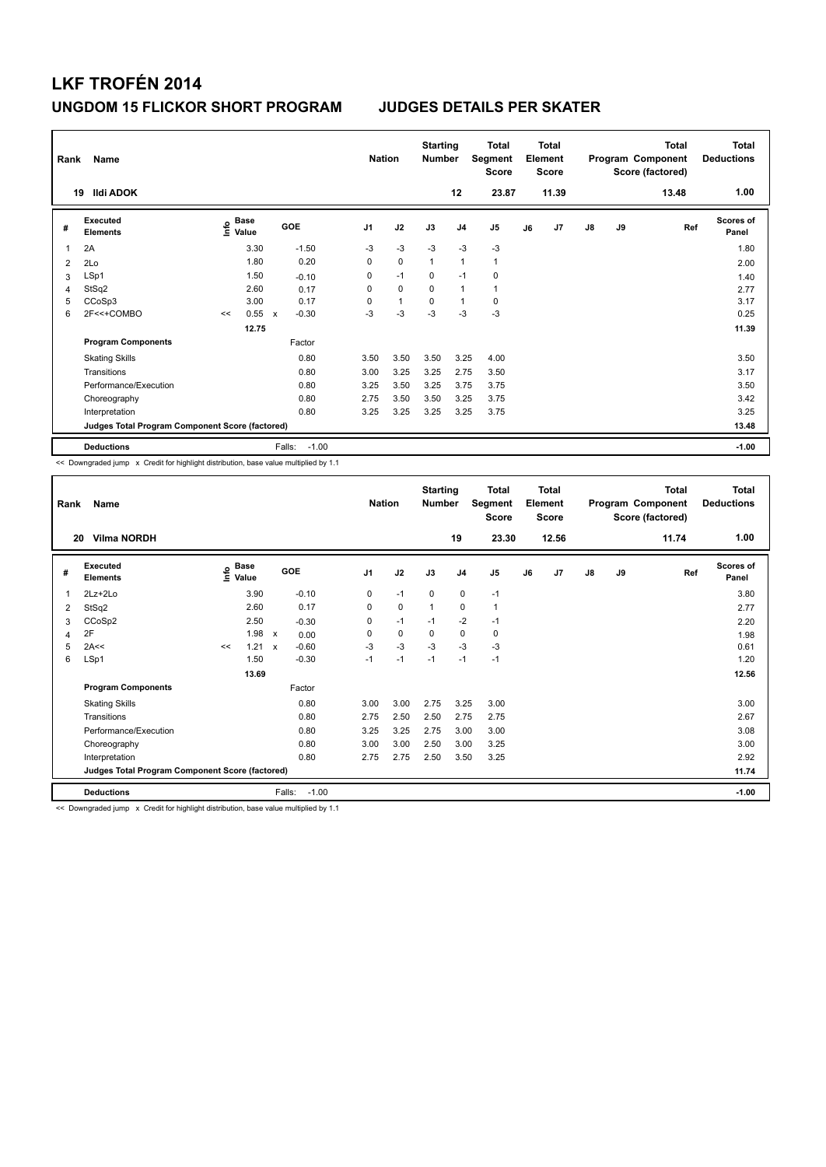| Rank           | Name<br><b>Ildi ADOK</b><br>19                  |      |                      |                           |         | <b>Nation</b>  |              | <b>Starting</b><br><b>Number</b> | 12             | <b>Total</b><br>Segment<br><b>Score</b><br>23.87 |    | <b>Total</b><br>Element<br><b>Score</b><br>11.39 |               |    | <b>Total</b><br>Program Component<br>Score (factored)<br>13.48 | Total<br><b>Deductions</b><br>1.00 |
|----------------|-------------------------------------------------|------|----------------------|---------------------------|---------|----------------|--------------|----------------------------------|----------------|--------------------------------------------------|----|--------------------------------------------------|---------------|----|----------------------------------------------------------------|------------------------------------|
| #              | Executed<br><b>Elements</b>                     | lnfo | <b>Base</b><br>Value |                           | GOE     | J <sub>1</sub> | J2           | J3                               | J <sub>4</sub> | J5                                               | J6 | J7                                               | $\mathsf{J}8$ | J9 | Ref                                                            | <b>Scores of</b><br>Panel          |
| 1              | 2A                                              |      | 3.30                 |                           | $-1.50$ | $-3$           | $-3$         | $-3$                             | $-3$           | $-3$                                             |    |                                                  |               |    |                                                                | 1.80                               |
| $\overline{2}$ | 2Lo                                             |      | 1.80                 |                           | 0.20    | $\mathbf 0$    | $\mathbf 0$  | $\overline{1}$                   | $\mathbf{1}$   | $\mathbf{1}$                                     |    |                                                  |               |    |                                                                | 2.00                               |
| 3              | LSp1                                            |      | 1.50                 |                           | $-0.10$ | 0              | $-1$         | $\Omega$                         | $-1$           | $\mathbf 0$                                      |    |                                                  |               |    |                                                                | 1.40                               |
| 4              | StSq2                                           |      | 2.60                 |                           | 0.17    | 0              | $\mathbf 0$  | $\Omega$                         | $\mathbf{1}$   | $\mathbf{1}$                                     |    |                                                  |               |    |                                                                | 2.77                               |
| 5              | CCoSp3                                          |      | 3.00                 |                           | 0.17    | 0              | $\mathbf{1}$ | $\mathbf 0$                      | $\mathbf{1}$   | $\mathbf 0$                                      |    |                                                  |               |    |                                                                | 3.17                               |
| 6              | 2F<<+COMBO                                      | <<   | 0.55                 | $\boldsymbol{\mathsf{x}}$ | $-0.30$ | $-3$           | $-3$         | $-3$                             | $-3$           | $-3$                                             |    |                                                  |               |    |                                                                | 0.25                               |
|                |                                                 |      | 12.75                |                           |         |                |              |                                  |                |                                                  |    |                                                  |               |    |                                                                | 11.39                              |
|                | <b>Program Components</b>                       |      |                      |                           | Factor  |                |              |                                  |                |                                                  |    |                                                  |               |    |                                                                |                                    |
|                | <b>Skating Skills</b>                           |      |                      |                           | 0.80    | 3.50           | 3.50         | 3.50                             | 3.25           | 4.00                                             |    |                                                  |               |    |                                                                | 3.50                               |
|                | Transitions                                     |      |                      |                           | 0.80    | 3.00           | 3.25         | 3.25                             | 2.75           | 3.50                                             |    |                                                  |               |    |                                                                | 3.17                               |
|                | Performance/Execution                           |      |                      |                           | 0.80    | 3.25           | 3.50         | 3.25                             | 3.75           | 3.75                                             |    |                                                  |               |    |                                                                | 3.50                               |
|                | Choreography                                    |      |                      |                           | 0.80    | 2.75           | 3.50         | 3.50                             | 3.25           | 3.75                                             |    |                                                  |               |    |                                                                | 3.42                               |
|                | Interpretation                                  |      |                      |                           | 0.80    | 3.25           | 3.25         | 3.25                             | 3.25           | 3.75                                             |    |                                                  |               |    |                                                                | 3.25                               |
|                | Judges Total Program Component Score (factored) |      |                      |                           |         |                |              |                                  |                |                                                  |    |                                                  |               |    |                                                                | 13.48                              |
|                | <b>Deductions</b>                               |      |                      | Falls:                    | $-1.00$ |                |              |                                  |                |                                                  |    |                                                  |               |    |                                                                | $-1.00$                            |

<< Downgraded jump x Credit for highlight distribution, base value multiplied by 1.1

| Rank | Name                                            |                       |               |                   | <b>Nation</b>  |      | <b>Starting</b><br><b>Number</b> |                | <b>Total</b><br>Segment<br><b>Score</b> |    | <b>Total</b><br>Element<br><b>Score</b> |               |    | <b>Total</b><br>Program Component<br>Score (factored) | <b>Total</b><br><b>Deductions</b> |
|------|-------------------------------------------------|-----------------------|---------------|-------------------|----------------|------|----------------------------------|----------------|-----------------------------------------|----|-----------------------------------------|---------------|----|-------------------------------------------------------|-----------------------------------|
| 20   | <b>Vilma NORDH</b>                              |                       |               |                   |                |      |                                  | 19             | 23.30                                   |    | 12.56                                   |               |    | 11.74                                                 | 1.00                              |
| #    | <b>Executed</b><br><b>Elements</b>              | $\sum_{i=1}^{n}$ Base |               | GOE               | J <sub>1</sub> | J2   | J3                               | J <sub>4</sub> | J <sub>5</sub>                          | J6 | J7                                      | $\mathsf{J}8$ | J9 | Ref                                                   | <b>Scores of</b><br>Panel         |
| 1    | $2Lz+2Lo$                                       |                       | 3.90          | $-0.10$           | 0              | $-1$ | 0                                | 0              | $-1$                                    |    |                                         |               |    |                                                       | 3.80                              |
| 2    | StSq2                                           |                       | 2.60          | 0.17              | 0              | 0    | $\mathbf{1}$                     | $\mathbf 0$    | 1                                       |    |                                         |               |    |                                                       | 2.77                              |
| 3    | CCoSp2                                          |                       | 2.50          | $-0.30$           | 0              | $-1$ | $-1$                             | $-2$           | $-1$                                    |    |                                         |               |    |                                                       | 2.20                              |
| 4    | 2F                                              |                       | $1.98 \times$ | 0.00              | 0              | 0    | 0                                | $\mathbf 0$    | 0                                       |    |                                         |               |    |                                                       | 1.98                              |
| 5    | 2A<<                                            | <<                    | $1.21 \times$ | $-0.60$           | $-3$           | $-3$ | $-3$                             | $-3$           | $-3$                                    |    |                                         |               |    |                                                       | 0.61                              |
| 6    | LSp1                                            |                       | 1.50          | $-0.30$           | $-1$           | $-1$ | $-1$                             | $-1$           | $-1$                                    |    |                                         |               |    |                                                       | 1.20                              |
|      |                                                 |                       | 13.69         |                   |                |      |                                  |                |                                         |    |                                         |               |    |                                                       | 12.56                             |
|      | <b>Program Components</b>                       |                       |               | Factor            |                |      |                                  |                |                                         |    |                                         |               |    |                                                       |                                   |
|      | <b>Skating Skills</b>                           |                       |               | 0.80              | 3.00           | 3.00 | 2.75                             | 3.25           | 3.00                                    |    |                                         |               |    |                                                       | 3.00                              |
|      | Transitions                                     |                       |               | 0.80              | 2.75           | 2.50 | 2.50                             | 2.75           | 2.75                                    |    |                                         |               |    |                                                       | 2.67                              |
|      | Performance/Execution                           |                       |               | 0.80              | 3.25           | 3.25 | 2.75                             | 3.00           | 3.00                                    |    |                                         |               |    |                                                       | 3.08                              |
|      | Choreography                                    |                       |               | 0.80              | 3.00           | 3.00 | 2.50                             | 3.00           | 3.25                                    |    |                                         |               |    |                                                       | 3.00                              |
|      | Interpretation                                  |                       |               | 0.80              | 2.75           | 2.75 | 2.50                             | 3.50           | 3.25                                    |    |                                         |               |    |                                                       | 2.92                              |
|      | Judges Total Program Component Score (factored) |                       |               |                   |                |      |                                  |                |                                         |    |                                         |               |    |                                                       | 11.74                             |
|      | <b>Deductions</b>                               |                       |               | $-1.00$<br>Falls: |                |      |                                  |                |                                         |    |                                         |               |    |                                                       | $-1.00$                           |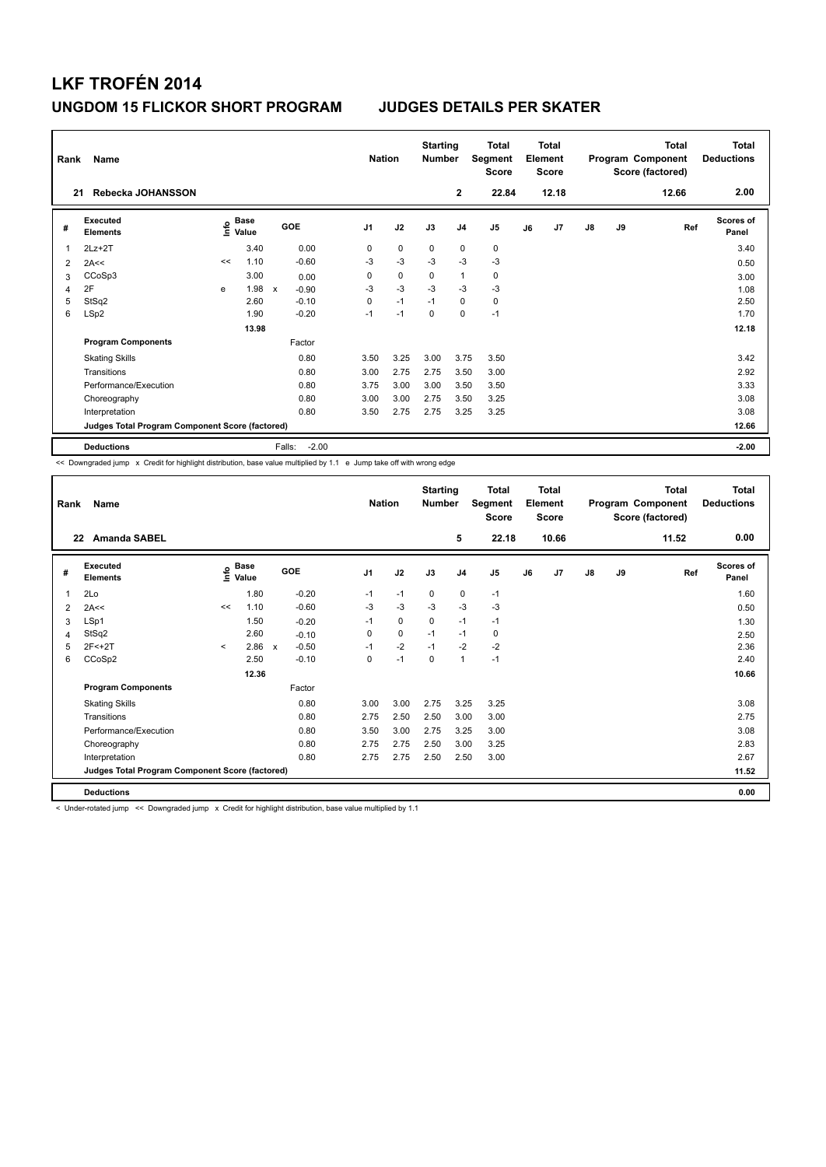| Rank<br>21 | <b>Name</b><br>Rebecka JOHANSSON                |    |                     |                           |         | <b>Nation</b>  |             | <b>Starting</b><br><b>Number</b> | $\mathbf{2}$   | <b>Total</b><br>Segment<br><b>Score</b><br>22.84 |    | Total<br>Element<br>Score<br>12.18 |               |    | Total<br>Program Component<br>Score (factored)<br>12.66 | Total<br><b>Deductions</b><br>2.00 |
|------------|-------------------------------------------------|----|---------------------|---------------------------|---------|----------------|-------------|----------------------------------|----------------|--------------------------------------------------|----|------------------------------------|---------------|----|---------------------------------------------------------|------------------------------------|
|            | Executed                                        |    | <b>Base</b>         |                           |         |                |             |                                  |                |                                                  |    |                                    |               |    |                                                         | Scores of                          |
| #          | <b>Elements</b>                                 |    | $\frac{6}{5}$ Value |                           | GOE     | J <sub>1</sub> | J2          | J3                               | J <sub>4</sub> | J5                                               | J6 | J7                                 | $\mathsf{J}8$ | J9 | Ref                                                     | Panel                              |
| 1          | $2Lz+2T$                                        |    | 3.40                |                           | 0.00    | 0              | $\mathbf 0$ | 0                                | $\mathbf 0$    | 0                                                |    |                                    |               |    |                                                         | 3.40                               |
| 2          | 2A<<                                            | << | 1.10                |                           | $-0.60$ | -3             | $-3$        | $-3$                             | $-3$           | $-3$                                             |    |                                    |               |    |                                                         | 0.50                               |
| 3          | CCoSp3                                          |    | 3.00                |                           | 0.00    | 0              | $\mathbf 0$ | 0                                | $\mathbf{1}$   | 0                                                |    |                                    |               |    |                                                         | 3.00                               |
| 4          | 2F                                              | e  | 1.98                | $\boldsymbol{\mathsf{x}}$ | $-0.90$ | -3             | $-3$        | $-3$                             | $-3$           | $-3$                                             |    |                                    |               |    |                                                         | 1.08                               |
| 5          | StSq2                                           |    | 2.60                |                           | $-0.10$ | 0              | $-1$        | $-1$                             | $\Omega$       | 0                                                |    |                                    |               |    |                                                         | 2.50                               |
| 6          | LSp2                                            |    | 1.90                |                           | $-0.20$ | $-1$           | $-1$        | $\Omega$                         | $\mathbf 0$    | $-1$                                             |    |                                    |               |    |                                                         | 1.70                               |
|            |                                                 |    | 13.98               |                           |         |                |             |                                  |                |                                                  |    |                                    |               |    |                                                         | 12.18                              |
|            | <b>Program Components</b>                       |    |                     |                           | Factor  |                |             |                                  |                |                                                  |    |                                    |               |    |                                                         |                                    |
|            | <b>Skating Skills</b>                           |    |                     |                           | 0.80    | 3.50           | 3.25        | 3.00                             | 3.75           | 3.50                                             |    |                                    |               |    |                                                         | 3.42                               |
|            | Transitions                                     |    |                     |                           | 0.80    | 3.00           | 2.75        | 2.75                             | 3.50           | 3.00                                             |    |                                    |               |    |                                                         | 2.92                               |
|            | Performance/Execution                           |    |                     |                           | 0.80    | 3.75           | 3.00        | 3.00                             | 3.50           | 3.50                                             |    |                                    |               |    |                                                         | 3.33                               |
|            | Choreography                                    |    |                     |                           | 0.80    | 3.00           | 3.00        | 2.75                             | 3.50           | 3.25                                             |    |                                    |               |    |                                                         | 3.08                               |
|            | Interpretation                                  |    |                     |                           | 0.80    | 3.50           | 2.75        | 2.75                             | 3.25           | 3.25                                             |    |                                    |               |    |                                                         | 3.08                               |
|            | Judges Total Program Component Score (factored) |    |                     |                           |         |                |             |                                  |                |                                                  |    |                                    |               |    |                                                         | 12.66                              |
|            | <b>Deductions</b>                               |    |                     | Falls:                    | $-2.00$ |                |             |                                  |                |                                                  |    |                                    |               |    |                                                         | $-2.00$                            |

<< Downgraded jump x Credit for highlight distribution, base value multiplied by 1.1 e Jump take off with wrong edge

| Rank | Name                                            |         |                        |                         | <b>Nation</b>  |             | <b>Starting</b><br><b>Number</b> |                | Total<br>Segment<br><b>Score</b> |    | <b>Total</b><br>Element<br><b>Score</b> |               |    | <b>Total</b><br>Program Component<br>Score (factored) | Total<br><b>Deductions</b> |
|------|-------------------------------------------------|---------|------------------------|-------------------------|----------------|-------------|----------------------------------|----------------|----------------------------------|----|-----------------------------------------|---------------|----|-------------------------------------------------------|----------------------------|
| 22   | <b>Amanda SABEL</b>                             |         |                        |                         |                |             |                                  | 5              | 22.18                            |    | 10.66                                   |               |    | 11.52                                                 | 0.00                       |
| #    | <b>Executed</b><br><b>Elements</b>              |         | $\sum_{i=1}^{6}$ Value | <b>GOE</b>              | J <sub>1</sub> | J2          | J3                               | J <sub>4</sub> | J5                               | J6 | J7                                      | $\mathsf{J}8$ | J9 | Ref                                                   | <b>Scores of</b><br>Panel  |
| 1    | 2Lo                                             |         | 1.80                   | $-0.20$                 | $-1$           | $-1$        | 0                                | 0              | $-1$                             |    |                                         |               |    |                                                       | 1.60                       |
| 2    | 2A<<                                            | <<      | 1.10                   | $-0.60$                 | $-3$           | $-3$        | $-3$                             | $-3$           | $-3$                             |    |                                         |               |    |                                                       | 0.50                       |
| 3    | LSp1                                            |         | 1.50                   | $-0.20$                 | $-1$           | 0           | 0                                | $-1$           | $-1$                             |    |                                         |               |    |                                                       | 1.30                       |
| 4    | StSq2                                           |         | 2.60                   | $-0.10$                 | 0              | $\mathbf 0$ | $-1$                             | $-1$           | 0                                |    |                                         |               |    |                                                       | 2.50                       |
| 5    | $2F < +2T$                                      | $\prec$ | 2.86                   | $-0.50$<br>$\mathsf{x}$ | $-1$           | $-2$        | $-1$                             | $-2$           | $-2$                             |    |                                         |               |    |                                                       | 2.36                       |
| 6    | CCoSp2                                          |         | 2.50                   | $-0.10$                 | 0              | $-1$        | $\mathbf 0$                      | 1              | $-1$                             |    |                                         |               |    |                                                       | 2.40                       |
|      |                                                 |         | 12.36                  |                         |                |             |                                  |                |                                  |    |                                         |               |    |                                                       | 10.66                      |
|      | <b>Program Components</b>                       |         |                        | Factor                  |                |             |                                  |                |                                  |    |                                         |               |    |                                                       |                            |
|      | <b>Skating Skills</b>                           |         |                        | 0.80                    | 3.00           | 3.00        | 2.75                             | 3.25           | 3.25                             |    |                                         |               |    |                                                       | 3.08                       |
|      | Transitions                                     |         |                        | 0.80                    | 2.75           | 2.50        | 2.50                             | 3.00           | 3.00                             |    |                                         |               |    |                                                       | 2.75                       |
|      | Performance/Execution                           |         |                        | 0.80                    | 3.50           | 3.00        | 2.75                             | 3.25           | 3.00                             |    |                                         |               |    |                                                       | 3.08                       |
|      | Choreography                                    |         |                        | 0.80                    | 2.75           | 2.75        | 2.50                             | 3.00           | 3.25                             |    |                                         |               |    |                                                       | 2.83                       |
|      | Interpretation                                  |         |                        | 0.80                    | 2.75           | 2.75        | 2.50                             | 2.50           | 3.00                             |    |                                         |               |    |                                                       | 2.67                       |
|      | Judges Total Program Component Score (factored) |         |                        |                         |                |             |                                  |                |                                  |    |                                         |               |    |                                                       | 11.52                      |
|      | <b>Deductions</b>                               |         |                        |                         |                |             |                                  |                |                                  |    |                                         |               |    |                                                       | 0.00                       |

< Under-rotated jump << Downgraded jump x Credit for highlight distribution, base value multiplied by 1.1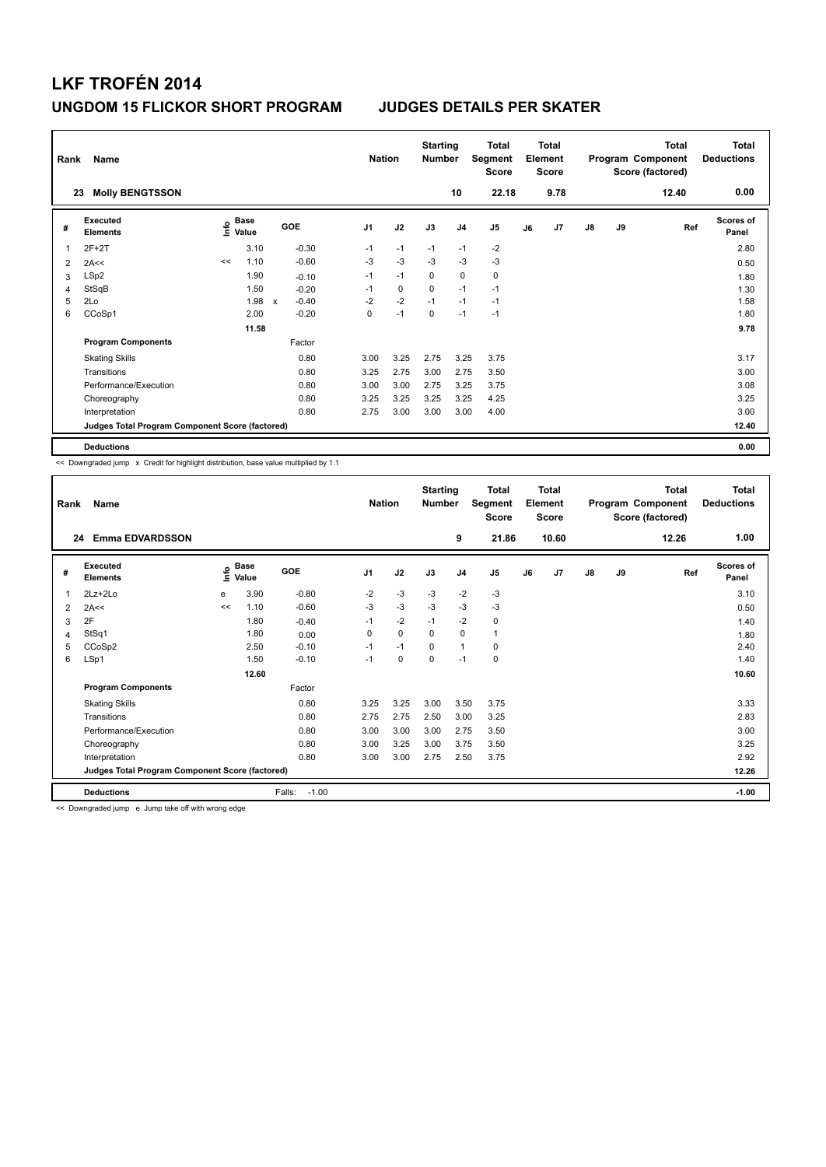| Rank           | Name                                            |      |                      |              |         |                | <b>Nation</b> | <b>Starting</b><br><b>Number</b> |                | Total<br>Segment<br><b>Score</b> |    | <b>Total</b><br>Element<br><b>Score</b> |               |    | <b>Total</b><br>Program Component<br>Score (factored) | <b>Total</b><br><b>Deductions</b> |
|----------------|-------------------------------------------------|------|----------------------|--------------|---------|----------------|---------------|----------------------------------|----------------|----------------------------------|----|-----------------------------------------|---------------|----|-------------------------------------------------------|-----------------------------------|
|                | <b>Molly BENGTSSON</b><br>23                    |      |                      |              |         |                |               |                                  | 10             | 22.18                            |    | 9.78                                    |               |    | 12.40                                                 | 0.00                              |
| #              | <b>Executed</b><br><b>Elements</b>              | ١nfo | <b>Base</b><br>Value |              | GOE     | J <sub>1</sub> | J2            | J3                               | J <sub>4</sub> | J5                               | J6 | J7                                      | $\mathsf{J}8$ | J9 | Ref                                                   | <b>Scores of</b><br>Panel         |
|                | $2F+2T$                                         |      | 3.10                 |              | $-0.30$ | $-1$           | $-1$          | $-1$                             | $-1$           | $-2$                             |    |                                         |               |    |                                                       | 2.80                              |
| $\overline{2}$ | 2A<<                                            | <<   | 1.10                 |              | $-0.60$ | $-3$           | $-3$          | $-3$                             | $-3$           | $-3$                             |    |                                         |               |    |                                                       | 0.50                              |
| 3              | LSp2                                            |      | 1.90                 |              | $-0.10$ | $-1$           | $-1$          | 0                                | $\mathbf 0$    | $\pmb{0}$                        |    |                                         |               |    |                                                       | 1.80                              |
| 4              | StSqB                                           |      | 1.50                 |              | $-0.20$ | $-1$           | 0             | 0                                | $-1$           | $-1$                             |    |                                         |               |    |                                                       | 1.30                              |
| 5              | 2Lo                                             |      | 1.98                 | $\mathsf{x}$ | $-0.40$ | $-2$           | $-2$          | $-1$                             | $-1$           | $-1$                             |    |                                         |               |    |                                                       | 1.58                              |
| 6              | CCoSp1                                          |      | 2.00                 |              | $-0.20$ | 0              | $-1$          | $\Omega$                         | $-1$           | $-1$                             |    |                                         |               |    |                                                       | 1.80                              |
|                |                                                 |      | 11.58                |              |         |                |               |                                  |                |                                  |    |                                         |               |    |                                                       | 9.78                              |
|                | <b>Program Components</b>                       |      |                      |              | Factor  |                |               |                                  |                |                                  |    |                                         |               |    |                                                       |                                   |
|                | <b>Skating Skills</b>                           |      |                      |              | 0.80    | 3.00           | 3.25          | 2.75                             | 3.25           | 3.75                             |    |                                         |               |    |                                                       | 3.17                              |
|                | Transitions                                     |      |                      |              | 0.80    | 3.25           | 2.75          | 3.00                             | 2.75           | 3.50                             |    |                                         |               |    |                                                       | 3.00                              |
|                | Performance/Execution                           |      |                      |              | 0.80    | 3.00           | 3.00          | 2.75                             | 3.25           | 3.75                             |    |                                         |               |    |                                                       | 3.08                              |
|                | Choreography                                    |      |                      |              | 0.80    | 3.25           | 3.25          | 3.25                             | 3.25           | 4.25                             |    |                                         |               |    |                                                       | 3.25                              |
|                | Interpretation                                  |      |                      |              | 0.80    | 2.75           | 3.00          | 3.00                             | 3.00           | 4.00                             |    |                                         |               |    |                                                       | 3.00                              |
|                | Judges Total Program Component Score (factored) |      |                      |              |         |                |               |                                  |                |                                  |    |                                         |               |    |                                                       | 12.40                             |
|                | <b>Deductions</b>                               |      |                      |              |         |                |               |                                  |                |                                  |    |                                         |               |    |                                                       | 0.00                              |

<< Downgraded jump x Credit for highlight distribution, base value multiplied by 1.1

| Rank | Name                                            |                |                      |                   | <b>Nation</b>  |             | <b>Starting</b><br><b>Number</b> |                | Total<br>Segment<br><b>Score</b> |    | <b>Total</b><br>Element<br><b>Score</b> |               |    | <b>Total</b><br>Program Component<br>Score (factored) | <b>Total</b><br><b>Deductions</b> |
|------|-------------------------------------------------|----------------|----------------------|-------------------|----------------|-------------|----------------------------------|----------------|----------------------------------|----|-----------------------------------------|---------------|----|-------------------------------------------------------|-----------------------------------|
| 24   | <b>Emma EDVARDSSON</b>                          |                |                      |                   |                |             |                                  | 9              | 21.86                            |    | 10.60                                   |               |    | 12.26                                                 | 1.00                              |
| #    | Executed<br><b>Elements</b>                     | $\bullet$<br>Έ | <b>Base</b><br>Value | GOE               | J <sub>1</sub> | J2          | J3                               | J <sub>4</sub> | J <sub>5</sub>                   | J6 | J7                                      | $\mathsf{J}8$ | J9 | Ref                                                   | <b>Scores of</b><br>Panel         |
| 1    | $2Lz+2Lo$                                       | e              | 3.90                 | $-0.80$           | $-2$           | $-3$        | $-3$                             | $-2$           | $-3$                             |    |                                         |               |    |                                                       | 3.10                              |
| 2    | 2A<<                                            | <<             | 1.10                 | $-0.60$           | $-3$           | $-3$        | $-3$                             | $-3$           | $-3$                             |    |                                         |               |    |                                                       | 0.50                              |
| 3    | 2F                                              |                | 1.80                 | $-0.40$           | $-1$           | $-2$        | $-1$                             | $-2$           | 0                                |    |                                         |               |    |                                                       | 1.40                              |
| 4    | StSq1                                           |                | 1.80                 | 0.00              | 0              | $\mathbf 0$ | 0                                | 0              | 1                                |    |                                         |               |    |                                                       | 1.80                              |
| 5    | CCoSp2                                          |                | 2.50                 | $-0.10$           | $-1$           | $-1$        | $\Omega$                         | $\mathbf{1}$   | 0                                |    |                                         |               |    |                                                       | 2.40                              |
| 6    | LSp1                                            |                | 1.50                 | $-0.10$           | $-1$           | 0           | 0                                | $-1$           | 0                                |    |                                         |               |    |                                                       | 1.40                              |
|      |                                                 |                | 12.60                |                   |                |             |                                  |                |                                  |    |                                         |               |    |                                                       | 10.60                             |
|      | <b>Program Components</b>                       |                |                      | Factor            |                |             |                                  |                |                                  |    |                                         |               |    |                                                       |                                   |
|      | <b>Skating Skills</b>                           |                |                      | 0.80              | 3.25           | 3.25        | 3.00                             | 3.50           | 3.75                             |    |                                         |               |    |                                                       | 3.33                              |
|      | Transitions                                     |                |                      | 0.80              | 2.75           | 2.75        | 2.50                             | 3.00           | 3.25                             |    |                                         |               |    |                                                       | 2.83                              |
|      | Performance/Execution                           |                |                      | 0.80              | 3.00           | 3.00        | 3.00                             | 2.75           | 3.50                             |    |                                         |               |    |                                                       | 3.00                              |
|      | Choreography                                    |                |                      | 0.80              | 3.00           | 3.25        | 3.00                             | 3.75           | 3.50                             |    |                                         |               |    |                                                       | 3.25                              |
|      | Interpretation                                  |                |                      | 0.80              | 3.00           | 3.00        | 2.75                             | 2.50           | 3.75                             |    |                                         |               |    |                                                       | 2.92                              |
|      | Judges Total Program Component Score (factored) |                |                      |                   |                |             |                                  |                |                                  |    |                                         |               |    |                                                       | 12.26                             |
|      | <b>Deductions</b>                               |                |                      | $-1.00$<br>Falls: |                |             |                                  |                |                                  |    |                                         |               |    |                                                       | $-1.00$                           |

<< Downgraded jump e Jump take off with wrong edge